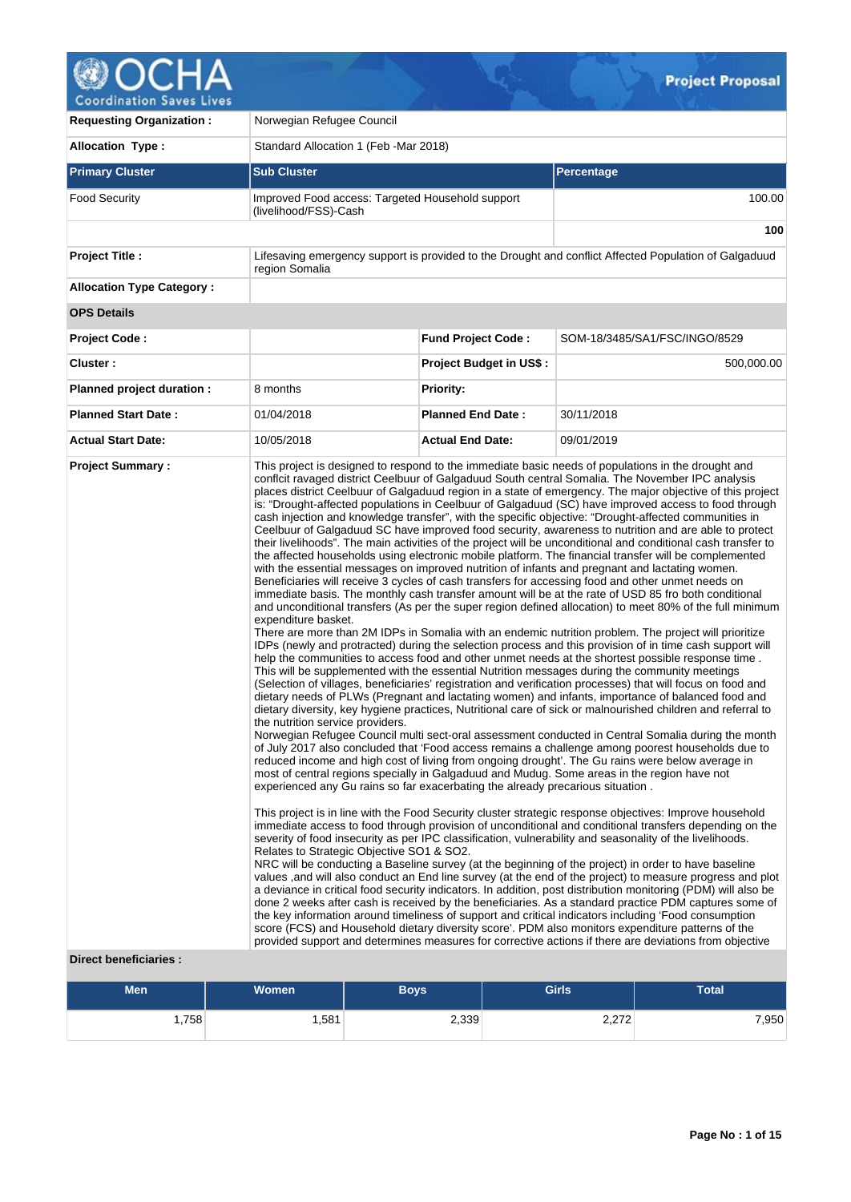

**Requesting Organization :** Norwegian Refugee Council Allocation Type : <br>
Standard Allocation 1 (Feb -Mar 2018) **Primary Cluster Sub Cluster Sub Cluster** Sub Cluster Sub Cluster Sub Cluster Sub Cluster Sub Cluster Sub Cluster Food Security **Improved Food access: Targeted Household support** (livelihood/FSS)-Cash 100.00 **100 Project Title :** Lifesaving emergency support is provided to the Drought and conflict Affected Population of Galgaduud region Somalia **Allocation Type Category : OPS Details Project Code : Fund Project Code :** SOM-18/3485/SA1/FSC/INGO/8529 **Cluster : Project Budget in US\$ :** 500,000.00 **Planned project duration :** 8 months **Planned Priority: Planned Start Date :** 01/04/2018 **Planned End Date :** 30/11/2018 **Actual Start Date:** 10/05/2018 **Actual End Date:** 09/01/2019 **Project Summary :** This project is designed to respond to the immediate basic needs of populations in the drought and conflcit ravaged district Ceelbuur of Galgaduud South central Somalia. The November IPC analysis places district Ceelbuur of Galgaduud region in a state of emergency. The major objective of this project is: "Drought-affected populations in Ceelbuur of Galgaduud (SC) have improved access to food through cash injection and knowledge transfer", with the specific objective: "Drought-affected communities in Ceelbuur of Galgaduud SC have improved food security, awareness to nutrition and are able to protect their livelihoods". The main activities of the project will be unconditional and conditional cash transfer to the affected households using electronic mobile platform. The financial transfer will be complemented with the essential messages on improved nutrition of infants and pregnant and lactating women. Beneficiaries will receive 3 cycles of cash transfers for accessing food and other unmet needs on immediate basis. The monthly cash transfer amount will be at the rate of USD 85 fro both conditional and unconditional transfers (As per the super region defined allocation) to meet 80% of the full minimum expenditure basket. There are more than 2M IDPs in Somalia with an endemic nutrition problem. The project will prioritize IDPs (newly and protracted) during the selection process and this provision of in time cash support will help the communities to access food and other unmet needs at the shortest possible response time . This will be supplemented with the essential Nutrition messages during the community meetings (Selection of villages, beneficiaries' registration and verification processes) that will focus on food and dietary needs of PLWs (Pregnant and lactating women) and infants, importance of balanced food and dietary diversity, key hygiene practices, Nutritional care of sick or malnourished children and referral to the nutrition service providers. Norwegian Refugee Council multi sect-oral assessment conducted in Central Somalia during the month of July 2017 also concluded that 'Food access remains a challenge among poorest households due to reduced income and high cost of living from ongoing drought'. The Gu rains were below average in most of central regions specially in Galgaduud and Mudug. Some areas in the region have not experienced any Gu rains so far exacerbating the already precarious situation . This project is in line with the Food Security cluster strategic response objectives: Improve household immediate access to food through provision of unconditional and conditional transfers depending on the severity of food insecurity as per IPC classification, vulnerability and seasonality of the livelihoods. Relates to Strategic Objective SO1 & SO2. NRC will be conducting a Baseline survey (at the beginning of the project) in order to have baseline values ,and will also conduct an End line survey (at the end of the project) to measure progress and plot a deviance in critical food security indicators. In addition, post distribution monitoring (PDM) will also be done 2 weeks after cash is received by the beneficiaries. As a standard practice PDM captures some of the key information around timeliness of support and critical indicators including 'Food consumption score (FCS) and Household dietary diversity score'. PDM also monitors expenditure patterns of the provided support and determines measures for corrective actions if there are deviations from objective

## **Direct beneficiaries :**

| <b>Men</b> | <b>Women</b> | Boys  | <b>Girls</b>   | <b>Total</b> |
|------------|--------------|-------|----------------|--------------|
| ∫758,،     | ,581         | 2,339 | 0.270<br>2,212 | ,950         |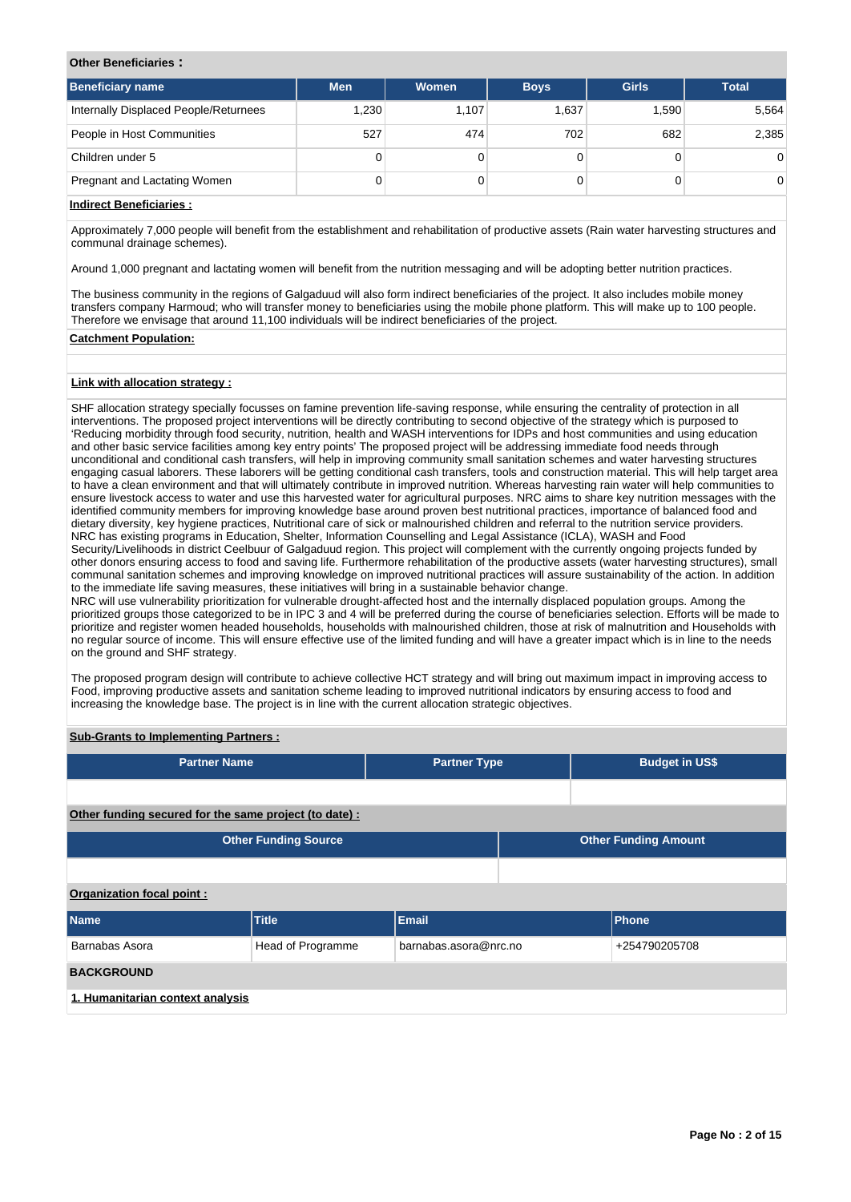### **Other Beneficiaries :**

| <b>Men</b> | <b>Women</b> | <b>Boys</b> | <b>Girls</b> | <b>Total</b> |
|------------|--------------|-------------|--------------|--------------|
| 1.230      | 1,107        | 1,637       | 1,590        | 5,564        |
| 527        | 474          | 702         | 682          | 2,385        |
| 0          |              |             |              | $\Omega$     |
| 0          |              |             |              | $\Omega$     |
|            |              |             |              |              |

## **Indirect Beneficiaries :**

Approximately 7,000 people will benefit from the establishment and rehabilitation of productive assets (Rain water harvesting structures and communal drainage schemes).

Around 1,000 pregnant and lactating women will benefit from the nutrition messaging and will be adopting better nutrition practices.

The business community in the regions of Galgaduud will also form indirect beneficiaries of the project. It also includes mobile money transfers company Harmoud; who will transfer money to beneficiaries using the mobile phone platform. This will make up to 100 people. Therefore we envisage that around 11,100 individuals will be indirect beneficiaries of the project.

#### **Catchment Population:**

### **Link with allocation strategy :**

SHF allocation strategy specially focusses on famine prevention life-saving response, while ensuring the centrality of protection in all interventions. The proposed project interventions will be directly contributing to second objective of the strategy which is purposed to 'Reducing morbidity through food security, nutrition, health and WASH interventions for IDPs and host communities and using education and other basic service facilities among key entry points' The proposed project will be addressing immediate food needs through unconditional and conditional cash transfers, will help in improving community small sanitation schemes and water harvesting structures engaging casual laborers. These laborers will be getting conditional cash transfers, tools and construction material. This will help target area to have a clean environment and that will ultimately contribute in improved nutrition. Whereas harvesting rain water will help communities to ensure livestock access to water and use this harvested water for agricultural purposes. NRC aims to share key nutrition messages with the identified community members for improving knowledge base around proven best nutritional practices, importance of balanced food and dietary diversity, key hygiene practices, Nutritional care of sick or malnourished children and referral to the nutrition service providers. NRC has existing programs in Education, Shelter, Information Counselling and Legal Assistance (ICLA), WASH and Food Security/Livelihoods in district Ceelbuur of Galgaduud region. This project will complement with the currently ongoing projects funded by other donors ensuring access to food and saving life. Furthermore rehabilitation of the productive assets (water harvesting structures), small communal sanitation schemes and improving knowledge on improved nutritional practices will assure sustainability of the action. In addition to the immediate life saving measures, these initiatives will bring in a sustainable behavior change. NRC will use vulnerability prioritization for vulnerable drought-affected host and the internally displaced population groups. Among the prioritized groups those categorized to be in IPC 3 and 4 will be preferred during the course of beneficiaries selection. Efforts will be made to prioritize and register women headed households, households with malnourished children, those at risk of malnutrition and Households with no regular source of income. This will ensure effective use of the limited funding and will have a greater impact which is in line to the needs

The proposed program design will contribute to achieve collective HCT strategy and will bring out maximum impact in improving access to Food, improving productive assets and sanitation scheme leading to improved nutritional indicators by ensuring access to food and increasing the knowledge base. The project is in line with the current allocation strategic objectives.

### **Sub-Grants to Implementing Partners :**

on the ground and SHF strategy.

| <b>Partner Name</b>                                    |                             | <b>Partner Type</b>   |  |                             | <b>Budget in US\$</b> |  |  |  |  |  |  |
|--------------------------------------------------------|-----------------------------|-----------------------|--|-----------------------------|-----------------------|--|--|--|--|--|--|
|                                                        |                             |                       |  |                             |                       |  |  |  |  |  |  |
| Other funding secured for the same project (to date) : |                             |                       |  |                             |                       |  |  |  |  |  |  |
|                                                        | <b>Other Funding Source</b> |                       |  | <b>Other Funding Amount</b> |                       |  |  |  |  |  |  |
|                                                        |                             |                       |  |                             |                       |  |  |  |  |  |  |
| Organization focal point:                              |                             |                       |  |                             |                       |  |  |  |  |  |  |
| <b>Name</b>                                            | <b>Title</b>                | Email                 |  |                             | <b>Phone</b>          |  |  |  |  |  |  |
| Barnabas Asora                                         | Head of Programme           | barnabas.asora@nrc.no |  |                             | +254790205708         |  |  |  |  |  |  |
| <b>BACKGROUND</b>                                      |                             |                       |  |                             |                       |  |  |  |  |  |  |
| 1. Humanitarian context analysis                       |                             |                       |  |                             |                       |  |  |  |  |  |  |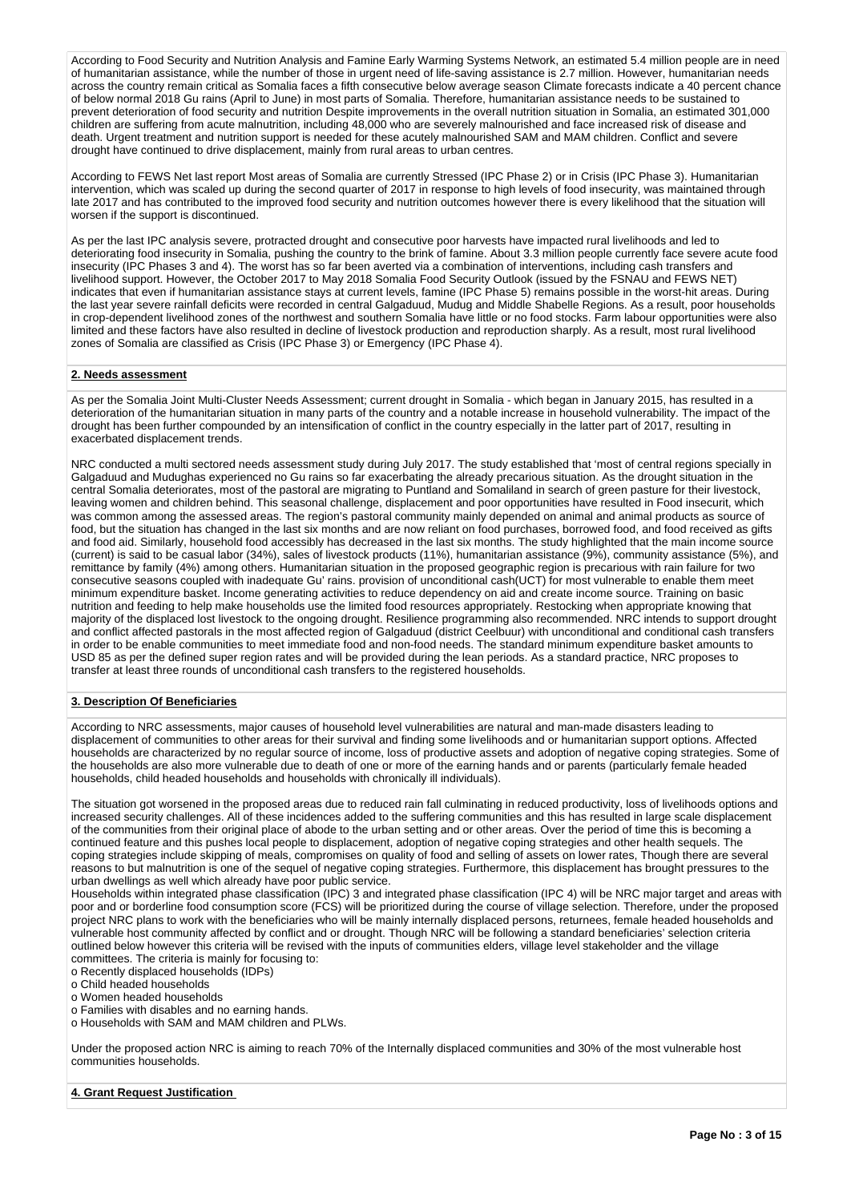According to Food Security and Nutrition Analysis and Famine Early Warming Systems Network, an estimated 5.4 million people are in need of humanitarian assistance, while the number of those in urgent need of life-saving assistance is 2.7 million. However, humanitarian needs across the country remain critical as Somalia faces a fifth consecutive below average season Climate forecasts indicate a 40 percent chance of below normal 2018 Gu rains (April to June) in most parts of Somalia. Therefore, humanitarian assistance needs to be sustained to prevent deterioration of food security and nutrition Despite improvements in the overall nutrition situation in Somalia, an estimated 301,000 children are suffering from acute malnutrition, including 48,000 who are severely malnourished and face increased risk of disease and death. Urgent treatment and nutrition support is needed for these acutely malnourished SAM and MAM children. Conflict and severe drought have continued to drive displacement, mainly from rural areas to urban centres.

According to FEWS Net last report Most areas of Somalia are currently Stressed (IPC Phase 2) or in Crisis (IPC Phase 3). Humanitarian intervention, which was scaled up during the second quarter of 2017 in response to high levels of food insecurity, was maintained through late 2017 and has contributed to the improved food security and nutrition outcomes however there is every likelihood that the situation will worsen if the support is discontinued.

As per the last IPC analysis severe, protracted drought and consecutive poor harvests have impacted rural livelihoods and led to deteriorating food insecurity in Somalia, pushing the country to the brink of famine. About 3.3 million people currently face severe acute food insecurity (IPC Phases 3 and 4). The worst has so far been averted via a combination of interventions, including cash transfers and livelihood support. However, the October 2017 to May 2018 Somalia Food Security Outlook (issued by the FSNAU and FEWS NET) indicates that even if humanitarian assistance stays at current levels, famine (IPC Phase 5) remains possible in the worst-hit areas. During the last year severe rainfall deficits were recorded in central Galgaduud, Mudug and Middle Shabelle Regions. As a result, poor households in crop-dependent livelihood zones of the northwest and southern Somalia have little or no food stocks. Farm labour opportunities were also limited and these factors have also resulted in decline of livestock production and reproduction sharply. As a result, most rural livelihood zones of Somalia are classified as Crisis (IPC Phase 3) or Emergency (IPC Phase 4).

#### **2. Needs assessment**

As per the Somalia Joint Multi-Cluster Needs Assessment; current drought in Somalia - which began in January 2015, has resulted in a deterioration of the humanitarian situation in many parts of the country and a notable increase in household vulnerability. The impact of the drought has been further compounded by an intensification of conflict in the country especially in the latter part of 2017, resulting in exacerbated displacement trends.

NRC conducted a multi sectored needs assessment study during July 2017. The study established that 'most of central regions specially in Galgaduud and Mudughas experienced no Gu rains so far exacerbating the already precarious situation. As the drought situation in the central Somalia deteriorates, most of the pastoral are migrating to Puntland and Somaliland in search of green pasture for their livestock, leaving women and children behind. This seasonal challenge, displacement and poor opportunities have resulted in Food insecurit, which was common among the assessed areas. The region's pastoral community mainly depended on animal and animal products as source of food, but the situation has changed in the last six months and are now reliant on food purchases, borrowed food, and food received as gifts and food aid. Similarly, household food accessibly has decreased in the last six months. The study highlighted that the main income source (current) is said to be casual labor (34%), sales of livestock products (11%), humanitarian assistance (9%), community assistance (5%), and remittance by family (4%) among others. Humanitarian situation in the proposed geographic region is precarious with rain failure for two consecutive seasons coupled with inadequate Gu' rains. provision of unconditional cash(UCT) for most vulnerable to enable them meet minimum expenditure basket. Income generating activities to reduce dependency on aid and create income source. Training on basic nutrition and feeding to help make households use the limited food resources appropriately. Restocking when appropriate knowing that majority of the displaced lost livestock to the ongoing drought. Resilience programming also recommended. NRC intends to support drought and conflict affected pastorals in the most affected region of Galgaduud (district Ceelbuur) with unconditional and conditional cash transfers in order to be enable communities to meet immediate food and non-food needs. The standard minimum expenditure basket amounts to USD 85 as per the defined super region rates and will be provided during the lean periods. As a standard practice, NRC proposes to transfer at least three rounds of unconditional cash transfers to the registered households.

### **3. Description Of Beneficiaries**

According to NRC assessments, major causes of household level vulnerabilities are natural and man-made disasters leading to displacement of communities to other areas for their survival and finding some livelihoods and or humanitarian support options. Affected households are characterized by no regular source of income, loss of productive assets and adoption of negative coping strategies. Some of the households are also more vulnerable due to death of one or more of the earning hands and or parents (particularly female headed households, child headed households and households with chronically ill individuals).

The situation got worsened in the proposed areas due to reduced rain fall culminating in reduced productivity, loss of livelihoods options and increased security challenges. All of these incidences added to the suffering communities and this has resulted in large scale displacement of the communities from their original place of abode to the urban setting and or other areas. Over the period of time this is becoming a continued feature and this pushes local people to displacement, adoption of negative coping strategies and other health sequels. The coping strategies include skipping of meals, compromises on quality of food and selling of assets on lower rates, Though there are several reasons to but malnutrition is one of the sequel of negative coping strategies. Furthermore, this displacement has brought pressures to the urban dwellings as well which already have poor public service.

Households within integrated phase classification (IPC) 3 and integrated phase classification (IPC 4) will be NRC major target and areas with poor and or borderline food consumption score (FCS) will be prioritized during the course of village selection. Therefore, under the proposed project NRC plans to work with the beneficiaries who will be mainly internally displaced persons, returnees, female headed households and vulnerable host community affected by conflict and or drought. Though NRC will be following a standard beneficiaries' selection criteria outlined below however this criteria will be revised with the inputs of communities elders, village level stakeholder and the village committees. The criteria is mainly for focusing to:

o Recently displaced households (IDPs)

o Child headed households

o Women headed households

o Families with disables and no earning hands.

o Households with SAM and MAM children and PLWs.

Under the proposed action NRC is aiming to reach 70% of the Internally displaced communities and 30% of the most vulnerable host communities households.

#### **4. Grant Request Justification**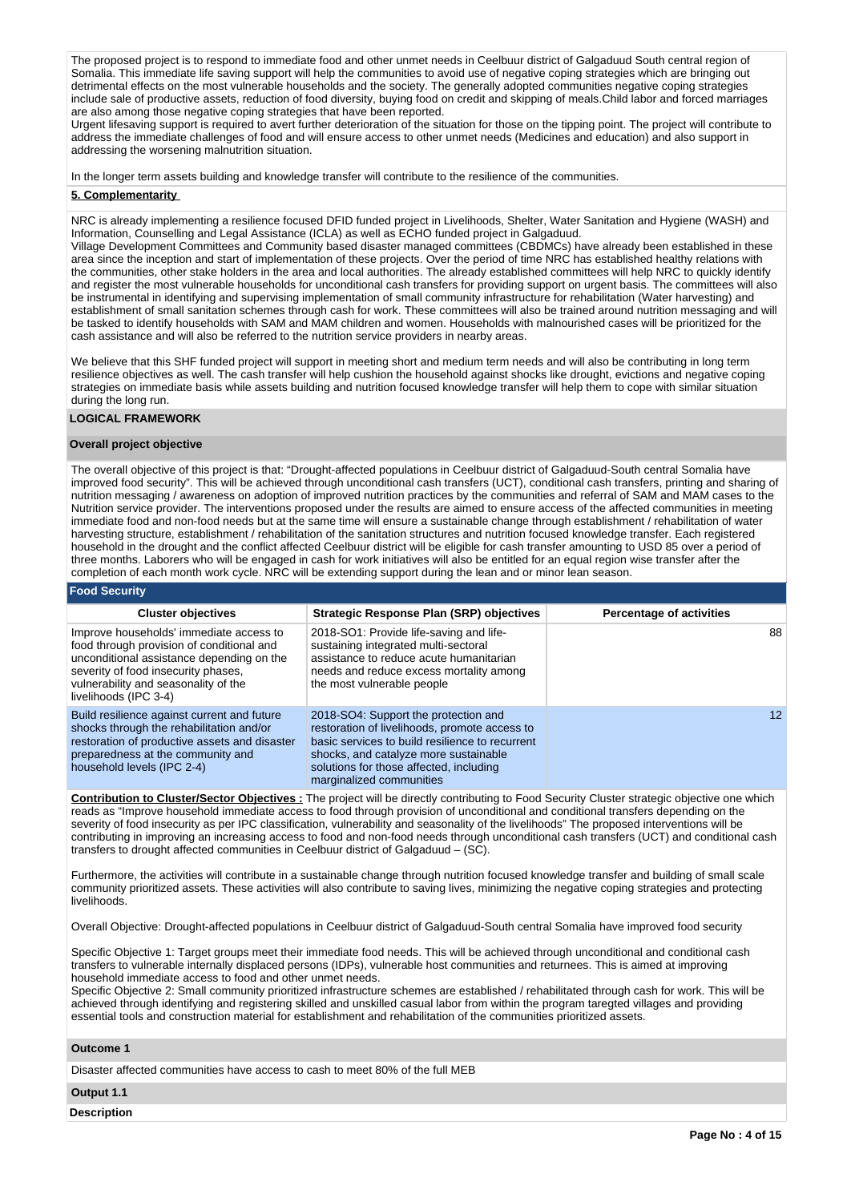The proposed project is to respond to immediate food and other unmet needs in Ceelbuur district of Galgaduud South central region of Somalia. This immediate life saving support will help the communities to avoid use of negative coping strategies which are bringing out detrimental effects on the most vulnerable households and the society. The generally adopted communities negative coping strategies include sale of productive assets, reduction of food diversity, buying food on credit and skipping of meals.Child labor and forced marriages are also among those negative coping strategies that have been reported.

Urgent lifesaving support is required to avert further deterioration of the situation for those on the tipping point. The project will contribute to address the immediate challenges of food and will ensure access to other unmet needs (Medicines and education) and also support in addressing the worsening malnutrition situation.

In the longer term assets building and knowledge transfer will contribute to the resilience of the communities.

#### **5. Complementarity**

NRC is already implementing a resilience focused DFID funded project in Livelihoods, Shelter, Water Sanitation and Hygiene (WASH) and Information, Counselling and Legal Assistance (ICLA) as well as ECHO funded project in Galgaduud.

Village Development Committees and Community based disaster managed committees (CBDMCs) have already been established in these area since the inception and start of implementation of these projects. Over the period of time NRC has established healthy relations with the communities, other stake holders in the area and local authorities. The already established committees will help NRC to quickly identify and register the most vulnerable households for unconditional cash transfers for providing support on urgent basis. The committees will also be instrumental in identifying and supervising implementation of small community infrastructure for rehabilitation (Water harvesting) and establishment of small sanitation schemes through cash for work. These committees will also be trained around nutrition messaging and will be tasked to identify households with SAM and MAM children and women. Households with malnourished cases will be prioritized for the cash assistance and will also be referred to the nutrition service providers in nearby areas.

We believe that this SHF funded project will support in meeting short and medium term needs and will also be contributing in long term resilience objectives as well. The cash transfer will help cushion the household against shocks like drought, evictions and negative coping strategies on immediate basis while assets building and nutrition focused knowledge transfer will help them to cope with similar situation during the long run.

#### **LOGICAL FRAMEWORK**

### **Overall project objective**

The overall objective of this project is that: "Drought-affected populations in Ceelbuur district of Galgaduud-South central Somalia have improved food security". This will be achieved through unconditional cash transfers (UCT), conditional cash transfers, printing and sharing of nutrition messaging / awareness on adoption of improved nutrition practices by the communities and referral of SAM and MAM cases to the Nutrition service provider. The interventions proposed under the results are aimed to ensure access of the affected communities in meeting immediate food and non-food needs but at the same time will ensure a sustainable change through establishment / rehabilitation of water harvesting structure, establishment / rehabilitation of the sanitation structures and nutrition focused knowledge transfer. Each registered household in the drought and the conflict affected Ceelbuur district will be eligible for cash transfer amounting to USD 85 over a period of three months. Laborers who will be engaged in cash for work initiatives will also be entitled for an equal region wise transfer after the completion of each month work cycle. NRC will be extending support during the lean and or minor lean season.

#### **Food Security**

| <b>Cluster objectives</b>                                                                                                                                                                                                                 | <b>Strategic Response Plan (SRP) objectives</b>                                                                                                                                                                                                          | <b>Percentage of activities</b> |
|-------------------------------------------------------------------------------------------------------------------------------------------------------------------------------------------------------------------------------------------|----------------------------------------------------------------------------------------------------------------------------------------------------------------------------------------------------------------------------------------------------------|---------------------------------|
| Improve households' immediate access to<br>food through provision of conditional and<br>unconditional assistance depending on the<br>severity of food insecurity phases,<br>vulnerability and seasonality of the<br>livelihoods (IPC 3-4) | 2018-SO1: Provide life-saving and life-<br>sustaining integrated multi-sectoral<br>assistance to reduce acute humanitarian<br>needs and reduce excess mortality among<br>the most vulnerable people                                                      | 88                              |
| Build resilience against current and future<br>shocks through the rehabilitation and/or<br>restoration of productive assets and disaster<br>preparedness at the community and<br>household levels (IPC 2-4)                               | 2018-SO4: Support the protection and<br>restoration of livelihoods, promote access to<br>basic services to build resilience to recurrent<br>shocks, and catalyze more sustainable<br>solutions for those affected, including<br>marginalized communities | 12 <sup>°</sup>                 |

**Contribution to Cluster/Sector Objectives :** The project will be directly contributing to Food Security Cluster strategic objective one which reads as "Improve household immediate access to food through provision of unconditional and conditional transfers depending on the severity of food insecurity as per IPC classification, vulnerability and seasonality of the livelihoods" The proposed interventions will be contributing in improving an increasing access to food and non-food needs through unconditional cash transfers (UCT) and conditional cash transfers to drought affected communities in Ceelbuur district of Galgaduud – (SC).

Furthermore, the activities will contribute in a sustainable change through nutrition focused knowledge transfer and building of small scale community prioritized assets. These activities will also contribute to saving lives, minimizing the negative coping strategies and protecting livelihoods.

Overall Objective: Drought-affected populations in Ceelbuur district of Galgaduud-South central Somalia have improved food security

Specific Objective 1: Target groups meet their immediate food needs. This will be achieved through unconditional and conditional cash transfers to vulnerable internally displaced persons (IDPs), vulnerable host communities and returnees. This is aimed at improving household immediate access to food and other unmet needs.

Specific Objective 2: Small community prioritized infrastructure schemes are established / rehabilitated through cash for work. This will be achieved through identifying and registering skilled and unskilled casual labor from within the program taregted villages and providing essential tools and construction material for establishment and rehabilitation of the communities prioritized assets.

#### **Outcome 1**

Disaster affected communities have access to cash to meet 80% of the full MEB

**Output 1.1**

**Description**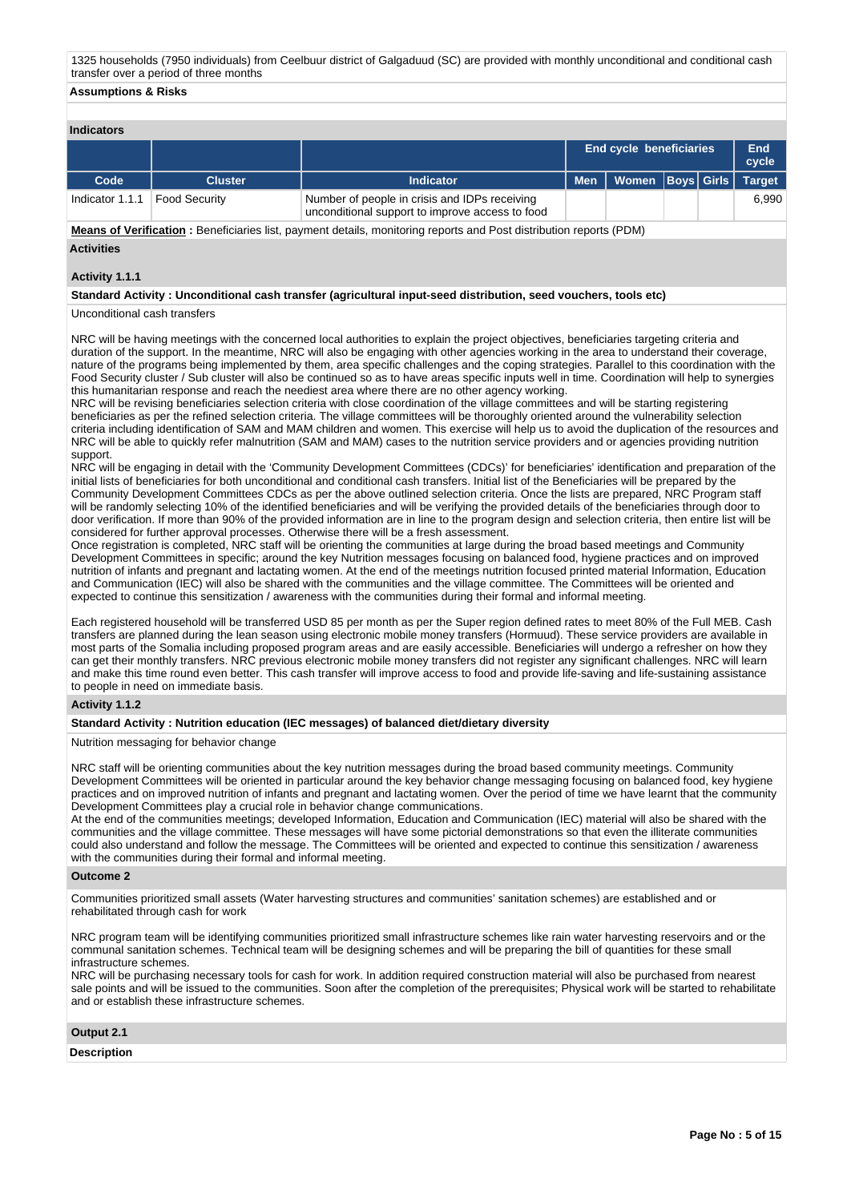1325 households (7950 individuals) from Ceelbuur district of Galgaduud (SC) are provided with monthly unconditional and conditional cash transfer over a period of three months

#### **Assumptions & Risks**

### **Indicators**

| iliulualui S                    |                |                                                                                                  |  |                                |  |  |              |  |  |  |  |  |
|---------------------------------|----------------|--------------------------------------------------------------------------------------------------|--|--------------------------------|--|--|--------------|--|--|--|--|--|
|                                 |                |                                                                                                  |  | <b>End cycle beneficiaries</b> |  |  | End<br>cycle |  |  |  |  |  |
| Code                            | <b>Cluster</b> | <b>Indicator</b>                                                                                 |  | Women   Boys   Girls   Target  |  |  |              |  |  |  |  |  |
| Indicator 1.1.1   Food Security |                | Number of people in crisis and IDPs receiving<br>unconditional support to improve access to food |  |                                |  |  | 6.990        |  |  |  |  |  |

**Means of Verification :** Beneficiaries list, payment details, monitoring reports and Post distribution reports (PDM) **Activities**

# **Activity 1.1.1**

### **Standard Activity : Unconditional cash transfer (agricultural input-seed distribution, seed vouchers, tools etc)**

### Unconditional cash transfers

NRC will be having meetings with the concerned local authorities to explain the project objectives, beneficiaries targeting criteria and duration of the support. In the meantime, NRC will also be engaging with other agencies working in the area to understand their coverage, nature of the programs being implemented by them, area specific challenges and the coping strategies. Parallel to this coordination with the Food Security cluster / Sub cluster will also be continued so as to have areas specific inputs well in time. Coordination will help to synergies this humanitarian response and reach the neediest area where there are no other agency working.

NRC will be revising beneficiaries selection criteria with close coordination of the village committees and will be starting registering beneficiaries as per the refined selection criteria. The village committees will be thoroughly oriented around the vulnerability selection criteria including identification of SAM and MAM children and women. This exercise will help us to avoid the duplication of the resources and NRC will be able to quickly refer malnutrition (SAM and MAM) cases to the nutrition service providers and or agencies providing nutrition support.

NRC will be engaging in detail with the 'Community Development Committees (CDCs)' for beneficiaries' identification and preparation of the initial lists of beneficiaries for both unconditional and conditional cash transfers. Initial list of the Beneficiaries will be prepared by the Community Development Committees CDCs as per the above outlined selection criteria. Once the lists are prepared, NRC Program staff will be randomly selecting 10% of the identified beneficiaries and will be verifying the provided details of the beneficiaries through door to door verification. If more than 90% of the provided information are in line to the program design and selection criteria, then entire list will be considered for further approval processes. Otherwise there will be a fresh assessment.

Once registration is completed, NRC staff will be orienting the communities at large during the broad based meetings and Community Development Committees in specific; around the key Nutrition messages focusing on balanced food, hygiene practices and on improved nutrition of infants and pregnant and lactating women. At the end of the meetings nutrition focused printed material Information, Education and Communication (IEC) will also be shared with the communities and the village committee. The Committees will be oriented and expected to continue this sensitization / awareness with the communities during their formal and informal meeting.

Each registered household will be transferred USD 85 per month as per the Super region defined rates to meet 80% of the Full MEB. Cash transfers are planned during the lean season using electronic mobile money transfers (Hormuud). These service providers are available in most parts of the Somalia including proposed program areas and are easily accessible. Beneficiaries will undergo a refresher on how they can get their monthly transfers. NRC previous electronic mobile money transfers did not register any significant challenges. NRC will learn and make this time round even better. This cash transfer will improve access to food and provide life-saving and life-sustaining assistance to people in need on immediate basis.

### **Activity 1.1.2**

### **Standard Activity : Nutrition education (IEC messages) of balanced diet/dietary diversity**

Nutrition messaging for behavior change

NRC staff will be orienting communities about the key nutrition messages during the broad based community meetings. Community Development Committees will be oriented in particular around the key behavior change messaging focusing on balanced food, key hygiene practices and on improved nutrition of infants and pregnant and lactating women. Over the period of time we have learnt that the community Development Committees play a crucial role in behavior change communications.

At the end of the communities meetings; developed Information, Education and Communication (IEC) material will also be shared with the communities and the village committee. These messages will have some pictorial demonstrations so that even the illiterate communities could also understand and follow the message. The Committees will be oriented and expected to continue this sensitization / awareness with the communities during their formal and informal meeting.

#### **Outcome 2**

Communities prioritized small assets (Water harvesting structures and communities' sanitation schemes) are established and or rehabilitated through cash for work

NRC program team will be identifying communities prioritized small infrastructure schemes like rain water harvesting reservoirs and or the communal sanitation schemes. Technical team will be designing schemes and will be preparing the bill of quantities for these small infrastructure schemes.

NRC will be purchasing necessary tools for cash for work. In addition required construction material will also be purchased from nearest sale points and will be issued to the communities. Soon after the completion of the prerequisites; Physical work will be started to rehabilitate and or establish these infrastructure schemes.

**Output 2.1**

**Description**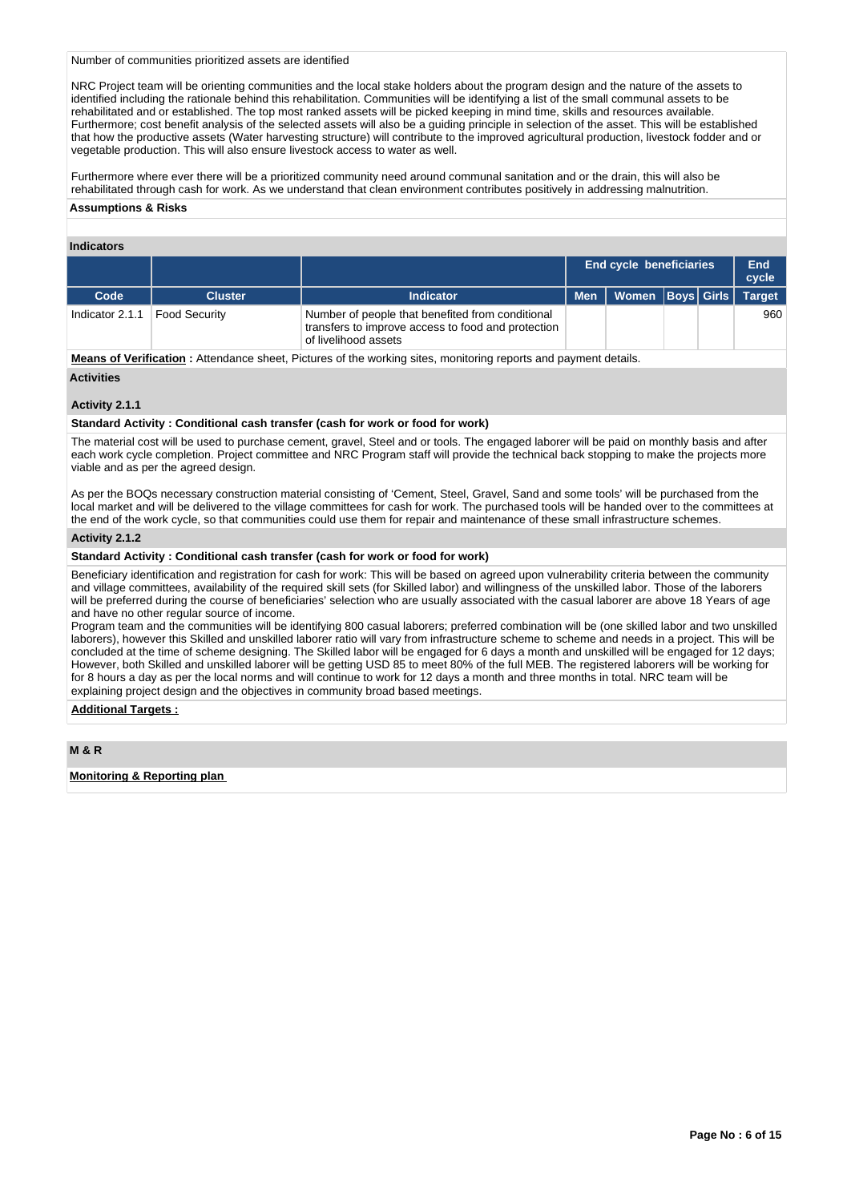Number of communities prioritized assets are identified

NRC Project team will be orienting communities and the local stake holders about the program design and the nature of the assets to identified including the rationale behind this rehabilitation. Communities will be identifying a list of the small communal assets to be rehabilitated and or established. The top most ranked assets will be picked keeping in mind time, skills and resources available. Furthermore; cost benefit analysis of the selected assets will also be a guiding principle in selection of the asset. This will be established that how the productive assets (Water harvesting structure) will contribute to the improved agricultural production, livestock fodder and or vegetable production. This will also ensure livestock access to water as well.

Furthermore where ever there will be a prioritized community need around communal sanitation and or the drain, this will also be rehabilitated through cash for work. As we understand that clean environment contributes positively in addressing malnutrition.

### **Assumptions & Risks**

### **Indicators**

|                 |                |                                                                                                                                | <b>End cycle beneficiaries</b> |                      |  | End<br>cycle |               |
|-----------------|----------------|--------------------------------------------------------------------------------------------------------------------------------|--------------------------------|----------------------|--|--------------|---------------|
| Code            | <b>Cluster</b> | Indicator                                                                                                                      | <b>Men</b>                     | Women   Boys   Girls |  |              | <b>Target</b> |
| Indicator 2.1.1 | Food Security  | Number of people that benefited from conditional<br>transfers to improve access to food and protection<br>of livelihood assets |                                |                      |  |              | 960           |

**Means of Verification :** Attendance sheet, Pictures of the working sites, monitoring reports and payment details. **Activities**

### **Activity 2.1.1**

**Standard Activity : Conditional cash transfer (cash for work or food for work)**

The material cost will be used to purchase cement, gravel, Steel and or tools. The engaged laborer will be paid on monthly basis and after each work cycle completion. Project committee and NRC Program staff will provide the technical back stopping to make the projects more viable and as per the agreed design.

As per the BOQs necessary construction material consisting of 'Cement, Steel, Gravel, Sand and some tools' will be purchased from the local market and will be delivered to the village committees for cash for work. The purchased tools will be handed over to the committees at the end of the work cycle, so that communities could use them for repair and maintenance of these small infrastructure schemes.

#### **Activity 2.1.2**

### **Standard Activity : Conditional cash transfer (cash for work or food for work)**

Beneficiary identification and registration for cash for work: This will be based on agreed upon vulnerability criteria between the community and village committees, availability of the required skill sets (for Skilled labor) and willingness of the unskilled labor. Those of the laborers will be preferred during the course of beneficiaries' selection who are usually associated with the casual laborer are above 18 Years of age and have no other regular source of income.

Program team and the communities will be identifying 800 casual laborers; preferred combination will be (one skilled labor and two unskilled laborers), however this Skilled and unskilled laborer ratio will vary from infrastructure scheme to scheme and needs in a project. This will be concluded at the time of scheme designing. The Skilled labor will be engaged for 6 days a month and unskilled will be engaged for 12 days; However, both Skilled and unskilled laborer will be getting USD 85 to meet 80% of the full MEB. The registered laborers will be working for for 8 hours a day as per the local norms and will continue to work for 12 days a month and three months in total. NRC team will be explaining project design and the objectives in community broad based meetings.

### **Additional Targets :**

**M & R**

**Monitoring & Reporting plan**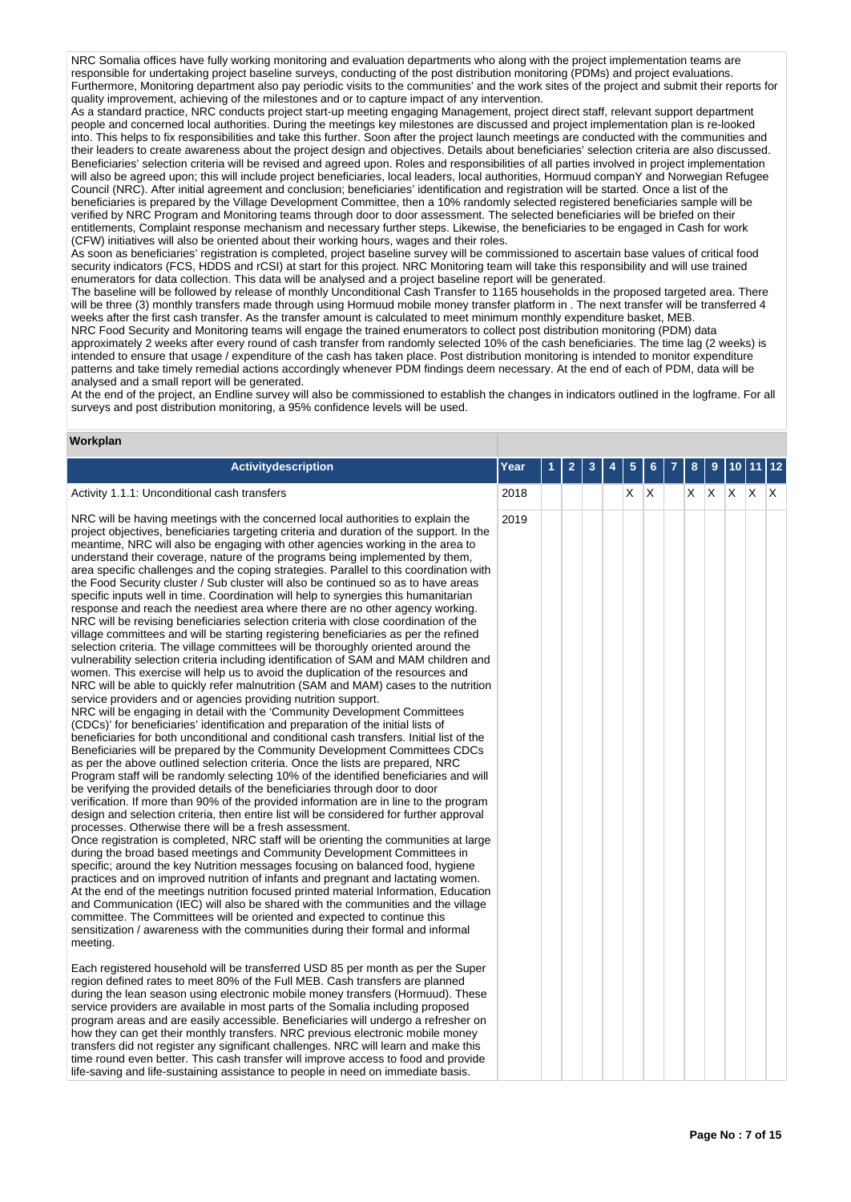NRC Somalia offices have fully working monitoring and evaluation departments who along with the project implementation teams are responsible for undertaking project baseline surveys, conducting of the post distribution monitoring (PDMs) and project evaluations. Furthermore, Monitoring department also pay periodic visits to the communities' and the work sites of the project and submit their reports for quality improvement, achieving of the milestones and or to capture impact of any intervention.

As a standard practice, NRC conducts project start-up meeting engaging Management, project direct staff, relevant support department people and concerned local authorities. During the meetings key milestones are discussed and project implementation plan is re-looked into. This helps to fix responsibilities and take this further. Soon after the project launch meetings are conducted with the communities and their leaders to create awareness about the project design and objectives. Details about beneficiaries' selection criteria are also discussed. Beneficiaries' selection criteria will be revised and agreed upon. Roles and responsibilities of all parties involved in project implementation will also be agreed upon; this will include project beneficiaries, local leaders, local authorities, Hormuud companY and Norwegian Refugee Council (NRC). After initial agreement and conclusion; beneficiaries' identification and registration will be started. Once a list of the beneficiaries is prepared by the Village Development Committee, then a 10% randomly selected registered beneficiaries sample will be verified by NRC Program and Monitoring teams through door to door assessment. The selected beneficiaries will be briefed on their entitlements, Complaint response mechanism and necessary further steps. Likewise, the beneficiaries to be engaged in Cash for work (CFW) initiatives will also be oriented about their working hours, wages and their roles.

As soon as beneficiaries' registration is completed, project baseline survey will be commissioned to ascertain base values of critical food security indicators (FCS, HDDS and rCSI) at start for this project. NRC Monitoring team will take this responsibility and will use trained enumerators for data collection. This data will be analysed and a project baseline report will be generated.

The baseline will be followed by release of monthly Unconditional Cash Transfer to 1165 households in the proposed targeted area. There will be three (3) monthly transfers made through using Hormuud mobile money transfer platform in . The next transfer will be transferred 4 weeks after the first cash transfer. As the transfer amount is calculated to meet minimum monthly expenditure basket, MEB.

NRC Food Security and Monitoring teams will engage the trained enumerators to collect post distribution monitoring (PDM) data approximately 2 weeks after every round of cash transfer from randomly selected 10% of the cash beneficiaries. The time lag (2 weeks) is intended to ensure that usage / expenditure of the cash has taken place. Post distribution monitoring is intended to monitor expenditure patterns and take timely remedial actions accordingly whenever PDM findings deem necessary. At the end of each of PDM, data will be analysed and a small report will be generated.

At the end of the project, an Endline survey will also be commissioned to establish the changes in indicators outlined in the logframe. For all surveys and post distribution monitoring, a 95% confidence levels will be used.

#### **Workplan**

| Activitydescription                                                                                                                                                                                                                                                                                                                                                                                                                                                                                                                                                                                                                                                                                                                                                                                                                                                                                                                                                                                                                                                                                                                                                                                                                                                                                                                                                                                                                                                                                                                                                                                                                                                                                                                                                                                                                                                                                                                                                                                                                                                                                                                                                                                                                                                                                                                                                                                                                                                                                                                                                                                                                                                                                                                                                                                                                                                  | Year | $\mathbf{2}$ | 3 | 5  | 6   | 8  | 9 | 10  |         | 12 |
|----------------------------------------------------------------------------------------------------------------------------------------------------------------------------------------------------------------------------------------------------------------------------------------------------------------------------------------------------------------------------------------------------------------------------------------------------------------------------------------------------------------------------------------------------------------------------------------------------------------------------------------------------------------------------------------------------------------------------------------------------------------------------------------------------------------------------------------------------------------------------------------------------------------------------------------------------------------------------------------------------------------------------------------------------------------------------------------------------------------------------------------------------------------------------------------------------------------------------------------------------------------------------------------------------------------------------------------------------------------------------------------------------------------------------------------------------------------------------------------------------------------------------------------------------------------------------------------------------------------------------------------------------------------------------------------------------------------------------------------------------------------------------------------------------------------------------------------------------------------------------------------------------------------------------------------------------------------------------------------------------------------------------------------------------------------------------------------------------------------------------------------------------------------------------------------------------------------------------------------------------------------------------------------------------------------------------------------------------------------------------------------------------------------------------------------------------------------------------------------------------------------------------------------------------------------------------------------------------------------------------------------------------------------------------------------------------------------------------------------------------------------------------------------------------------------------------------------------------------------------|------|--------------|---|----|-----|----|---|-----|---------|----|
| Activity 1.1.1: Unconditional cash transfers                                                                                                                                                                                                                                                                                                                                                                                                                                                                                                                                                                                                                                                                                                                                                                                                                                                                                                                                                                                                                                                                                                                                                                                                                                                                                                                                                                                                                                                                                                                                                                                                                                                                                                                                                                                                                                                                                                                                                                                                                                                                                                                                                                                                                                                                                                                                                                                                                                                                                                                                                                                                                                                                                                                                                                                                                         | 2018 |              |   | X. | ΙX. | XX |   | ΙX. | $X$ $X$ |    |
| NRC will be having meetings with the concerned local authorities to explain the<br>project objectives, beneficiaries targeting criteria and duration of the support. In the<br>meantime, NRC will also be engaging with other agencies working in the area to<br>understand their coverage, nature of the programs being implemented by them,<br>area specific challenges and the coping strategies. Parallel to this coordination with<br>the Food Security cluster / Sub cluster will also be continued so as to have areas<br>specific inputs well in time. Coordination will help to synergies this humanitarian<br>response and reach the neediest area where there are no other agency working.<br>NRC will be revising beneficiaries selection criteria with close coordination of the<br>village committees and will be starting registering beneficiaries as per the refined<br>selection criteria. The village committees will be thoroughly oriented around the<br>vulnerability selection criteria including identification of SAM and MAM children and<br>women. This exercise will help us to avoid the duplication of the resources and<br>NRC will be able to quickly refer malnutrition (SAM and MAM) cases to the nutrition<br>service providers and or agencies providing nutrition support.<br>NRC will be engaging in detail with the 'Community Development Committees<br>(CDCs)' for beneficiaries' identification and preparation of the initial lists of<br>beneficiaries for both unconditional and conditional cash transfers. Initial list of the<br>Beneficiaries will be prepared by the Community Development Committees CDCs<br>as per the above outlined selection criteria. Once the lists are prepared, NRC<br>Program staff will be randomly selecting 10% of the identified beneficiaries and will<br>be verifying the provided details of the beneficiaries through door to door<br>verification. If more than 90% of the provided information are in line to the program<br>design and selection criteria, then entire list will be considered for further approval<br>processes. Otherwise there will be a fresh assessment.<br>Once registration is completed, NRC staff will be orienting the communities at large<br>during the broad based meetings and Community Development Committees in<br>specific; around the key Nutrition messages focusing on balanced food, hygiene<br>practices and on improved nutrition of infants and pregnant and lactating women.<br>At the end of the meetings nutrition focused printed material Information, Education<br>and Communication (IEC) will also be shared with the communities and the village<br>committee. The Committees will be oriented and expected to continue this<br>sensitization / awareness with the communities during their formal and informal<br>meeting. | 2019 |              |   |    |     |    |   |     |         |    |
| Each registered household will be transferred USD 85 per month as per the Super<br>region defined rates to meet 80% of the Full MEB. Cash transfers are planned<br>during the lean season using electronic mobile money transfers (Hormuud). These<br>service providers are available in most parts of the Somalia including proposed<br>program areas and are easily accessible. Beneficiaries will undergo a refresher on<br>how they can get their monthly transfers. NRC previous electronic mobile money<br>transfers did not register any significant challenges. NRC will learn and make this<br>time round even better. This cash transfer will improve access to food and provide<br>life-saving and life-sustaining assistance to people in need on immediate basis.                                                                                                                                                                                                                                                                                                                                                                                                                                                                                                                                                                                                                                                                                                                                                                                                                                                                                                                                                                                                                                                                                                                                                                                                                                                                                                                                                                                                                                                                                                                                                                                                                                                                                                                                                                                                                                                                                                                                                                                                                                                                                       |      |              |   |    |     |    |   |     |         |    |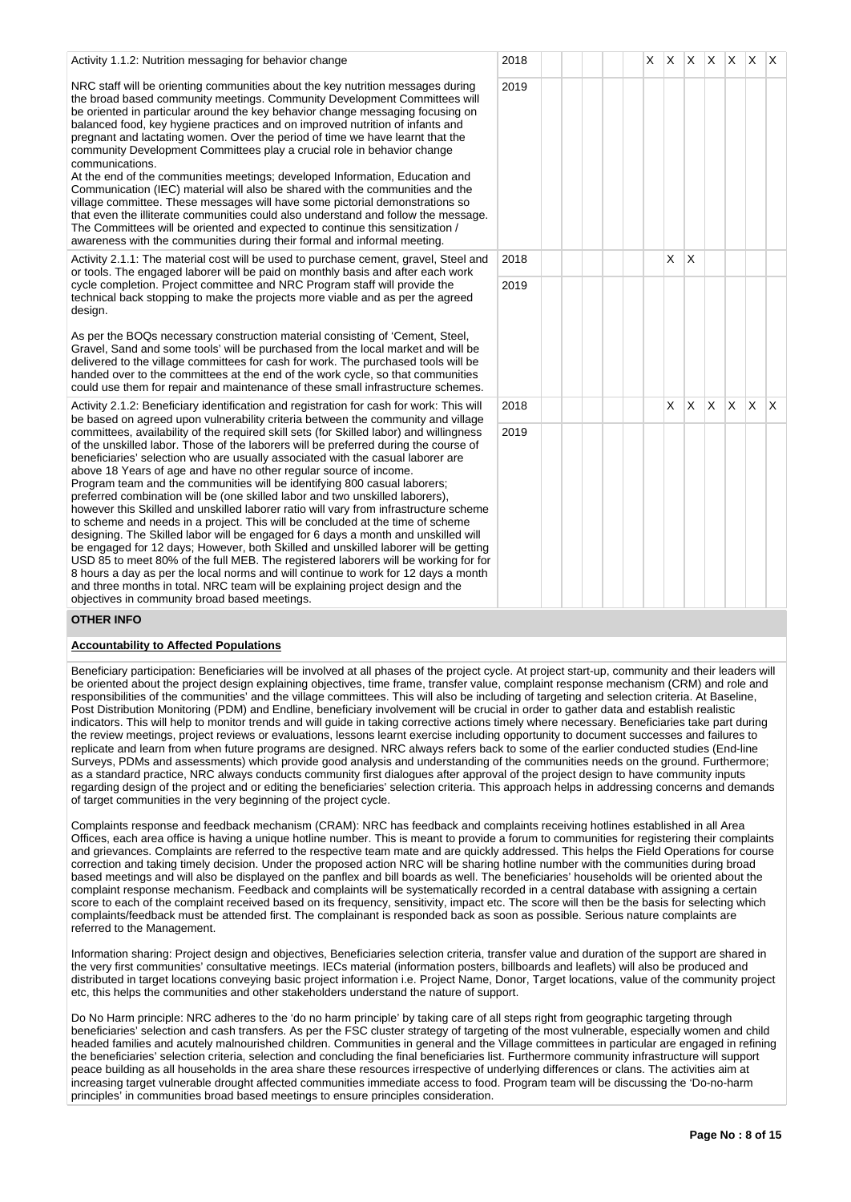| Activity 1.1.2: Nutrition messaging for behavior change                                                                                                                                                                                                                                                                                                                                                                                                                                                                                                                                                                                                                                                                                                                                                                                                                                                                                                                                                                                                                                                                                                                      | 2018 |  | X | X | ΙX.      | $\mathsf{X}$ | ΙX.          | X        | X   |
|------------------------------------------------------------------------------------------------------------------------------------------------------------------------------------------------------------------------------------------------------------------------------------------------------------------------------------------------------------------------------------------------------------------------------------------------------------------------------------------------------------------------------------------------------------------------------------------------------------------------------------------------------------------------------------------------------------------------------------------------------------------------------------------------------------------------------------------------------------------------------------------------------------------------------------------------------------------------------------------------------------------------------------------------------------------------------------------------------------------------------------------------------------------------------|------|--|---|---|----------|--------------|--------------|----------|-----|
| NRC staff will be orienting communities about the key nutrition messages during<br>the broad based community meetings. Community Development Committees will<br>be oriented in particular around the key behavior change messaging focusing on<br>balanced food, key hygiene practices and on improved nutrition of infants and<br>pregnant and lactating women. Over the period of time we have learnt that the<br>community Development Committees play a crucial role in behavior change<br>communications.<br>At the end of the communities meetings; developed Information, Education and<br>Communication (IEC) material will also be shared with the communities and the<br>village committee. These messages will have some pictorial demonstrations so<br>that even the illiterate communities could also understand and follow the message.<br>The Committees will be oriented and expected to continue this sensitization /<br>awareness with the communities during their formal and informal meeting.                                                                                                                                                           | 2019 |  |   |   |          |              |              |          |     |
| Activity 2.1.1: The material cost will be used to purchase cement, gravel, Steel and<br>or tools. The engaged laborer will be paid on monthly basis and after each work                                                                                                                                                                                                                                                                                                                                                                                                                                                                                                                                                                                                                                                                                                                                                                                                                                                                                                                                                                                                      | 2018 |  |   | X | $\times$ |              |              |          |     |
| cycle completion. Project committee and NRC Program staff will provide the<br>technical back stopping to make the projects more viable and as per the agreed<br>design.<br>As per the BOQs necessary construction material consisting of 'Cement, Steel,<br>Gravel, Sand and some tools' will be purchased from the local market and will be<br>delivered to the village committees for cash for work. The purchased tools will be<br>handed over to the committees at the end of the work cycle, so that communities<br>could use them for repair and maintenance of these small infrastructure schemes.                                                                                                                                                                                                                                                                                                                                                                                                                                                                                                                                                                    | 2019 |  |   |   |          |              |              |          |     |
| Activity 2.1.2: Beneficiary identification and registration for cash for work: This will<br>be based on agreed upon vulnerability criteria between the community and village                                                                                                                                                                                                                                                                                                                                                                                                                                                                                                                                                                                                                                                                                                                                                                                                                                                                                                                                                                                                 | 2018 |  |   | X | ΙX.      | $\mathsf{X}$ | $\mathsf{X}$ | <b>X</b> | ΙX. |
| committees, availability of the required skill sets (for Skilled labor) and willingness<br>of the unskilled labor. Those of the laborers will be preferred during the course of<br>beneficiaries' selection who are usually associated with the casual laborer are<br>above 18 Years of age and have no other regular source of income.<br>Program team and the communities will be identifying 800 casual laborers;<br>preferred combination will be (one skilled labor and two unskilled laborers),<br>however this Skilled and unskilled laborer ratio will vary from infrastructure scheme<br>to scheme and needs in a project. This will be concluded at the time of scheme<br>designing. The Skilled labor will be engaged for 6 days a month and unskilled will<br>be engaged for 12 days; However, both Skilled and unskilled laborer will be getting<br>USD 85 to meet 80% of the full MEB. The registered laborers will be working for for<br>8 hours a day as per the local norms and will continue to work for 12 days a month<br>and three months in total. NRC team will be explaining project design and the<br>objectives in community broad based meetings. | 2019 |  |   |   |          |              |              |          |     |
| <b>OTHER INFO</b>                                                                                                                                                                                                                                                                                                                                                                                                                                                                                                                                                                                                                                                                                                                                                                                                                                                                                                                                                                                                                                                                                                                                                            |      |  |   |   |          |              |              |          |     |

## **Accountability to Affected Populations**

Beneficiary participation: Beneficiaries will be involved at all phases of the project cycle. At project start-up, community and their leaders will be oriented about the project design explaining objectives, time frame, transfer value, complaint response mechanism (CRM) and role and responsibilities of the communities' and the village committees. This will also be including of targeting and selection criteria. At Baseline, Post Distribution Monitoring (PDM) and Endline, beneficiary involvement will be crucial in order to gather data and establish realistic indicators. This will help to monitor trends and will guide in taking corrective actions timely where necessary. Beneficiaries take part during the review meetings, project reviews or evaluations, lessons learnt exercise including opportunity to document successes and failures to replicate and learn from when future programs are designed. NRC always refers back to some of the earlier conducted studies (End-line Surveys, PDMs and assessments) which provide good analysis and understanding of the communities needs on the ground. Furthermore; as a standard practice, NRC always conducts community first dialogues after approval of the project design to have community inputs regarding design of the project and or editing the beneficiaries' selection criteria. This approach helps in addressing concerns and demands of target communities in the very beginning of the project cycle.

Complaints response and feedback mechanism (CRAM): NRC has feedback and complaints receiving hotlines established in all Area Offices, each area office is having a unique hotline number. This is meant to provide a forum to communities for registering their complaints and grievances. Complaints are referred to the respective team mate and are quickly addressed. This helps the Field Operations for course correction and taking timely decision. Under the proposed action NRC will be sharing hotline number with the communities during broad based meetings and will also be displayed on the panflex and bill boards as well. The beneficiaries' households will be oriented about the complaint response mechanism. Feedback and complaints will be systematically recorded in a central database with assigning a certain score to each of the complaint received based on its frequency, sensitivity, impact etc. The score will then be the basis for selecting which complaints/feedback must be attended first. The complainant is responded back as soon as possible. Serious nature complaints are referred to the Management.

Information sharing: Project design and objectives, Beneficiaries selection criteria, transfer value and duration of the support are shared in the very first communities' consultative meetings. IECs material (information posters, billboards and leaflets) will also be produced and distributed in target locations conveying basic project information i.e. Project Name, Donor, Target locations, value of the community project etc, this helps the communities and other stakeholders understand the nature of support.

Do No Harm principle: NRC adheres to the 'do no harm principle' by taking care of all steps right from geographic targeting through beneficiaries' selection and cash transfers. As per the FSC cluster strategy of targeting of the most vulnerable, especially women and child headed families and acutely malnourished children. Communities in general and the Village committees in particular are engaged in refining the beneficiaries' selection criteria, selection and concluding the final beneficiaries list. Furthermore community infrastructure will support peace building as all households in the area share these resources irrespective of underlying differences or clans. The activities aim at increasing target vulnerable drought affected communities immediate access to food. Program team will be discussing the 'Do-no-harm principles' in communities broad based meetings to ensure principles consideration.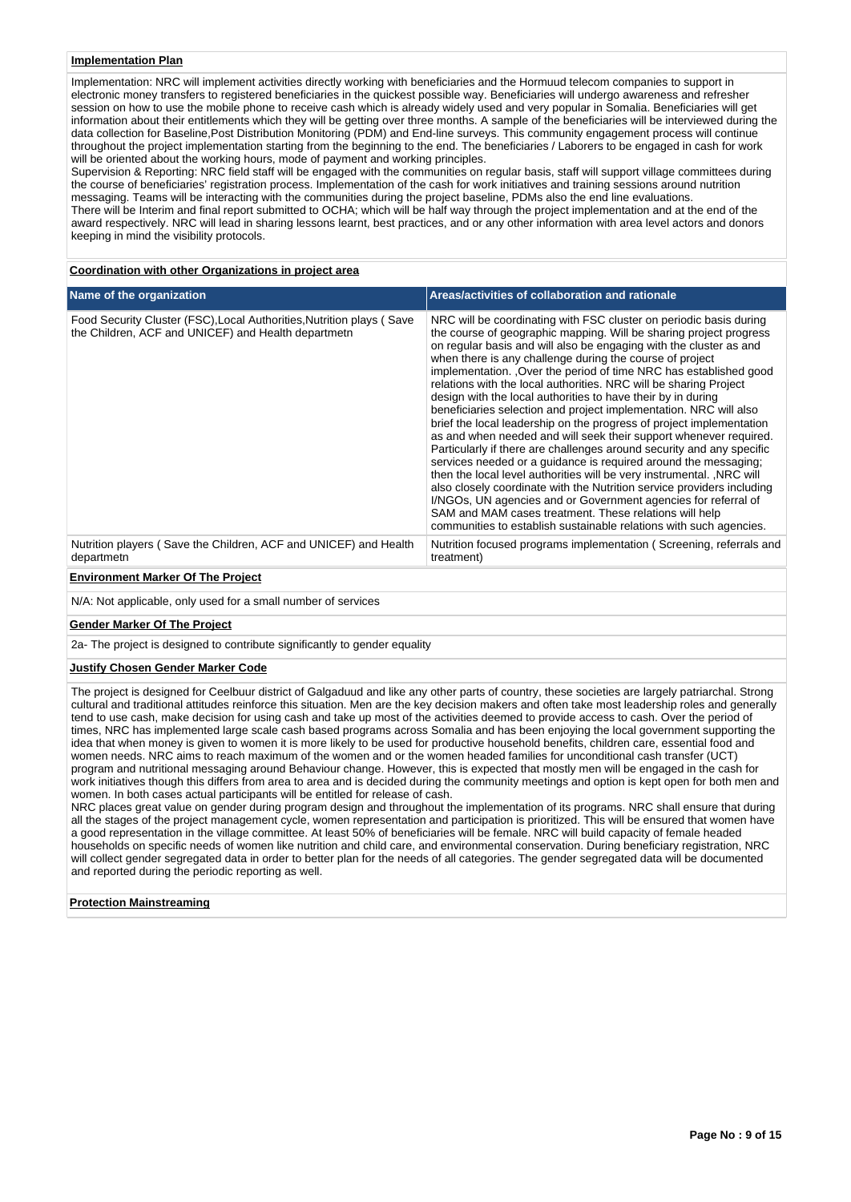### **Implementation Plan**

Implementation: NRC will implement activities directly working with beneficiaries and the Hormuud telecom companies to support in electronic money transfers to registered beneficiaries in the quickest possible way. Beneficiaries will undergo awareness and refresher session on how to use the mobile phone to receive cash which is already widely used and very popular in Somalia. Beneficiaries will get information about their entitlements which they will be getting over three months. A sample of the beneficiaries will be interviewed during the data collection for Baseline,Post Distribution Monitoring (PDM) and End-line surveys. This community engagement process will continue throughout the project implementation starting from the beginning to the end. The beneficiaries / Laborers to be engaged in cash for work will be oriented about the working hours, mode of payment and working principles.

Supervision & Reporting: NRC field staff will be engaged with the communities on regular basis, staff will support village committees during the course of beneficiaries' registration process. Implementation of the cash for work initiatives and training sessions around nutrition messaging. Teams will be interacting with the communities during the project baseline, PDMs also the end line evaluations. There will be Interim and final report submitted to OCHA; which will be half way through the project implementation and at the end of the award respectively. NRC will lead in sharing lessons learnt, best practices, and or any other information with area level actors and donors keeping in mind the visibility protocols.

#### **Coordination with other Organizations in project area**

| Name of the organization                                                                                                     | Areas/activities of collaboration and rationale                                                                                                                                                                                                                                                                                                                                                                                                                                                                                                                                                                                                                                                                                                                                                                                                                                                                                                                                                                                                                                                                                                                                                           |
|------------------------------------------------------------------------------------------------------------------------------|-----------------------------------------------------------------------------------------------------------------------------------------------------------------------------------------------------------------------------------------------------------------------------------------------------------------------------------------------------------------------------------------------------------------------------------------------------------------------------------------------------------------------------------------------------------------------------------------------------------------------------------------------------------------------------------------------------------------------------------------------------------------------------------------------------------------------------------------------------------------------------------------------------------------------------------------------------------------------------------------------------------------------------------------------------------------------------------------------------------------------------------------------------------------------------------------------------------|
| Food Security Cluster (FSC), Local Authorities, Nutrition plays (Save<br>the Children, ACF and UNICEF) and Health departmetn | NRC will be coordinating with FSC cluster on periodic basis during<br>the course of geographic mapping. Will be sharing project progress<br>on regular basis and will also be engaging with the cluster as and<br>when there is any challenge during the course of project<br>implementation. , Over the period of time NRC has established good<br>relations with the local authorities. NRC will be sharing Project<br>design with the local authorities to have their by in during<br>beneficiaries selection and project implementation. NRC will also<br>brief the local leadership on the progress of project implementation<br>as and when needed and will seek their support whenever required.<br>Particularly if there are challenges around security and any specific<br>services needed or a quidance is required around the messaging;<br>then the local level authorities will be very instrumental. , NRC will<br>also closely coordinate with the Nutrition service providers including<br>I/NGOs, UN agencies and or Government agencies for referral of<br>SAM and MAM cases treatment. These relations will help<br>communities to establish sustainable relations with such agencies. |
| Nutrition players (Save the Children, ACF and UNICEF) and Health<br>departmetn                                               | Nutrition focused programs implementation (Screening, referrals and<br>treatment)                                                                                                                                                                                                                                                                                                                                                                                                                                                                                                                                                                                                                                                                                                                                                                                                                                                                                                                                                                                                                                                                                                                         |

**Environment Marker Of The Project**

N/A: Not applicable, only used for a small number of services

#### **Gender Marker Of The Project**

2a- The project is designed to contribute significantly to gender equality

#### **Justify Chosen Gender Marker Code**

The project is designed for Ceelbuur district of Galgaduud and like any other parts of country, these societies are largely patriarchal. Strong cultural and traditional attitudes reinforce this situation. Men are the key decision makers and often take most leadership roles and generally tend to use cash, make decision for using cash and take up most of the activities deemed to provide access to cash. Over the period of times, NRC has implemented large scale cash based programs across Somalia and has been enjoying the local government supporting the idea that when money is given to women it is more likely to be used for productive household benefits, children care, essential food and women needs. NRC aims to reach maximum of the women and or the women headed families for unconditional cash transfer (UCT) program and nutritional messaging around Behaviour change. However, this is expected that mostly men will be engaged in the cash for work initiatives though this differs from area to area and is decided during the community meetings and option is kept open for both men and women. In both cases actual participants will be entitled for release of cash.

NRC places great value on gender during program design and throughout the implementation of its programs. NRC shall ensure that during all the stages of the project management cycle, women representation and participation is prioritized. This will be ensured that women have a good representation in the village committee. At least 50% of beneficiaries will be female. NRC will build capacity of female headed households on specific needs of women like nutrition and child care, and environmental conservation. During beneficiary registration, NRC will collect gender segregated data in order to better plan for the needs of all categories. The gender segregated data will be documented and reported during the periodic reporting as well.

#### **Protection Mainstreaming**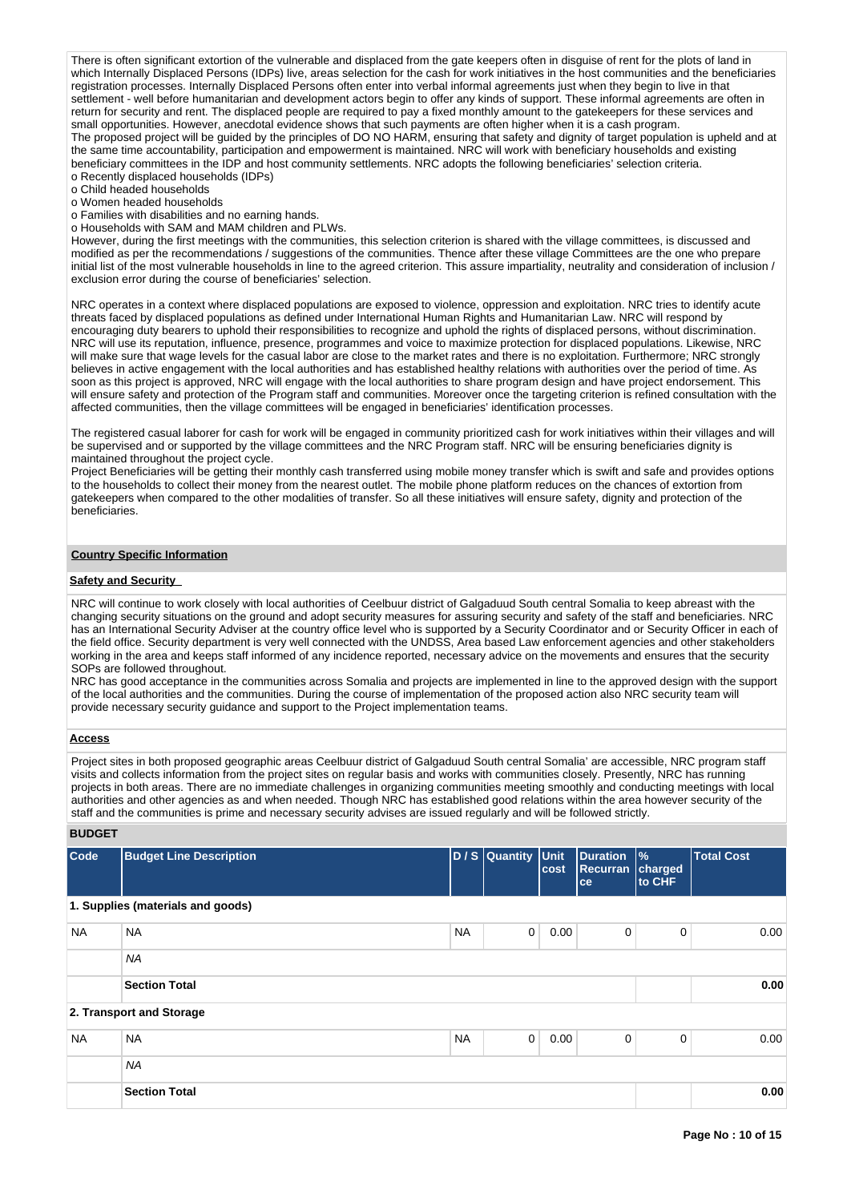There is often significant extortion of the vulnerable and displaced from the gate keepers often in disguise of rent for the plots of land in which Internally Displaced Persons (IDPs) live, areas selection for the cash for work initiatives in the host communities and the beneficiaries registration processes. Internally Displaced Persons often enter into verbal informal agreements just when they begin to live in that settlement - well before humanitarian and development actors begin to offer any kinds of support. These informal agreements are often in return for security and rent. The displaced people are required to pay a fixed monthly amount to the gatekeepers for these services and small opportunities. However, anecdotal evidence shows that such payments are often higher when it is a cash program. The proposed project will be guided by the principles of DO NO HARM, ensuring that safety and dignity of target population is upheld and at the same time accountability, participation and empowerment is maintained. NRC will work with beneficiary households and existing beneficiary committees in the IDP and host community settlements. NRC adopts the following beneficiaries' selection criteria. o Recently displaced households (IDPs)

o Child headed households

o Women headed households

o Families with disabilities and no earning hands.

o Households with SAM and MAM children and PLWs.

However, during the first meetings with the communities, this selection criterion is shared with the village committees, is discussed and modified as per the recommendations / suggestions of the communities. Thence after these village Committees are the one who prepare initial list of the most vulnerable households in line to the agreed criterion. This assure impartiality, neutrality and consideration of inclusion / exclusion error during the course of beneficiaries' selection.

NRC operates in a context where displaced populations are exposed to violence, oppression and exploitation. NRC tries to identify acute threats faced by displaced populations as defined under International Human Rights and Humanitarian Law. NRC will respond by encouraging duty bearers to uphold their responsibilities to recognize and uphold the rights of displaced persons, without discrimination. NRC will use its reputation, influence, presence, programmes and voice to maximize protection for displaced populations. Likewise, NRC will make sure that wage levels for the casual labor are close to the market rates and there is no exploitation. Furthermore; NRC strongly believes in active engagement with the local authorities and has established healthy relations with authorities over the period of time. As soon as this project is approved, NRC will engage with the local authorities to share program design and have project endorsement. This will ensure safety and protection of the Program staff and communities. Moreover once the targeting criterion is refined consultation with the affected communities, then the village committees will be engaged in beneficiaries' identification processes.

The registered casual laborer for cash for work will be engaged in community prioritized cash for work initiatives within their villages and will be supervised and or supported by the village committees and the NRC Program staff. NRC will be ensuring beneficiaries dignity is maintained throughout the project cycle.

Project Beneficiaries will be getting their monthly cash transferred using mobile money transfer which is swift and safe and provides options to the households to collect their money from the nearest outlet. The mobile phone platform reduces on the chances of extortion from gatekeepers when compared to the other modalities of transfer. So all these initiatives will ensure safety, dignity and protection of the beneficiaries.

### **Country Specific Information**

#### **Safety and Security**

NRC will continue to work closely with local authorities of Ceelbuur district of Galgaduud South central Somalia to keep abreast with the changing security situations on the ground and adopt security measures for assuring security and safety of the staff and beneficiaries. NRC has an International Security Adviser at the country office level who is supported by a Security Coordinator and or Security Officer in each of the field office. Security department is very well connected with the UNDSS, Area based Law enforcement agencies and other stakeholders working in the area and keeps staff informed of any incidence reported, necessary advice on the movements and ensures that the security SOPs are followed throughout.

NRC has good acceptance in the communities across Somalia and projects are implemented in line to the approved design with the support of the local authorities and the communities. During the course of implementation of the proposed action also NRC security team will provide necessary security guidance and support to the Project implementation teams.

#### **Access**

Project sites in both proposed geographic areas Ceelbuur district of Galgaduud South central Somalia' are accessible, NRC program staff visits and collects information from the project sites on regular basis and works with communities closely. Presently, NRC has running projects in both areas. There are no immediate challenges in organizing communities meeting smoothly and conducting meetings with local authorities and other agencies as and when needed. Though NRC has established good relations within the area however security of the staff and the communities is prime and necessary security advises are issued regularly and will be followed strictly.

**BUDGET**

| Code      | <b>Budget Line Description</b>    |           | D / S Quantity Unit | cost | Duration<br><b>Recurran</b><br>ce | $\frac{9}{6}$<br>charged<br>to CHF | <b>Total Cost</b> |
|-----------|-----------------------------------|-----------|---------------------|------|-----------------------------------|------------------------------------|-------------------|
|           | 1. Supplies (materials and goods) |           |                     |      |                                   |                                    |                   |
| <b>NA</b> | <b>NA</b>                         | <b>NA</b> | $\mathbf 0$         | 0.00 | 0                                 | 0                                  | 0.00              |
|           | <b>NA</b>                         |           |                     |      |                                   |                                    |                   |
|           | <b>Section Total</b>              |           |                     |      |                                   |                                    | 0.00              |
|           | 2. Transport and Storage          |           |                     |      |                                   |                                    |                   |
| <b>NA</b> | <b>NA</b>                         | <b>NA</b> | $\mathbf 0$         | 0.00 | 0                                 | 0                                  | 0.00              |
|           | <b>NA</b>                         |           |                     |      |                                   |                                    |                   |
|           | <b>Section Total</b>              |           |                     |      |                                   |                                    | 0.00              |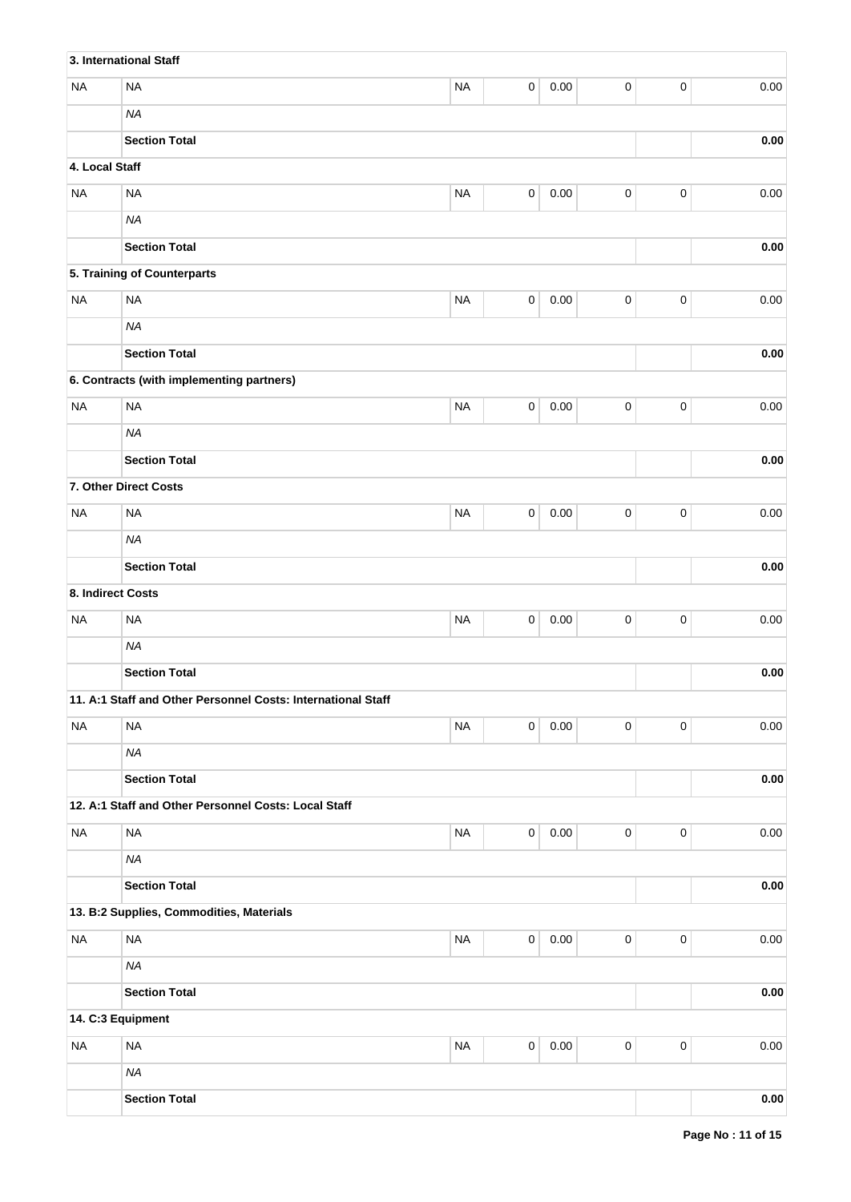|                   | 3. International Staff                                       |           |             |          |             |             |            |
|-------------------|--------------------------------------------------------------|-----------|-------------|----------|-------------|-------------|------------|
| <b>NA</b>         | <b>NA</b>                                                    | <b>NA</b> | $\pmb{0}$   | 0.00     | $\pmb{0}$   | $\pmb{0}$   | 0.00       |
|                   | <b>NA</b>                                                    |           |             |          |             |             |            |
|                   | <b>Section Total</b>                                         |           |             |          |             |             | 0.00       |
| 4. Local Staff    |                                                              |           |             |          |             |             |            |
| <b>NA</b>         | <b>NA</b>                                                    | <b>NA</b> | $\pmb{0}$   | 0.00     | $\pmb{0}$   | $\pmb{0}$   | 0.00       |
|                   | <b>NA</b>                                                    |           |             |          |             |             |            |
|                   | <b>Section Total</b>                                         |           |             |          |             |             | 0.00       |
|                   | 5. Training of Counterparts                                  |           |             |          |             |             |            |
| <b>NA</b>         | <b>NA</b>                                                    | <b>NA</b> | $\pmb{0}$   | 0.00     | $\pmb{0}$   | $\pmb{0}$   | 0.00       |
|                   | <b>NA</b>                                                    |           |             |          |             |             |            |
|                   | <b>Section Total</b>                                         |           |             |          |             |             | 0.00       |
|                   | 6. Contracts (with implementing partners)                    |           |             |          |             |             |            |
| <b>NA</b>         | <b>NA</b>                                                    | <b>NA</b> | $\pmb{0}$   | 0.00     | $\pmb{0}$   | $\pmb{0}$   | 0.00       |
|                   | <b>NA</b>                                                    |           |             |          |             |             |            |
|                   | <b>Section Total</b>                                         |           |             |          |             |             | 0.00       |
|                   | 7. Other Direct Costs                                        |           |             |          |             |             |            |
| <b>NA</b>         | <b>NA</b>                                                    | <b>NA</b> | 0           | 0.00     | $\pmb{0}$   | $\pmb{0}$   | 0.00       |
|                   | <b>NA</b>                                                    |           |             |          |             |             |            |
|                   | <b>Section Total</b>                                         |           |             |          |             |             | 0.00       |
| 8. Indirect Costs |                                                              |           |             |          |             |             |            |
| <b>NA</b>         | <b>NA</b>                                                    | <b>NA</b> | 0           | 0.00     | $\pmb{0}$   | $\mathbf 0$ | 0.00       |
|                   | <b>NA</b>                                                    |           |             |          |             |             |            |
|                   | <b>Section Total</b>                                         |           |             |          |             |             | 0.00       |
|                   | 11. A:1 Staff and Other Personnel Costs: International Staff |           |             |          |             |             |            |
| <b>NA</b>         | <b>NA</b>                                                    | <b>NA</b> | $\mathsf 0$ | $0.00\,$ | 0           | $\pmb{0}$   | $0.00\,$   |
|                   | <b>NA</b>                                                    |           |             |          |             |             |            |
|                   | <b>Section Total</b>                                         |           |             |          |             |             | 0.00       |
|                   | 12. A:1 Staff and Other Personnel Costs: Local Staff         |           |             |          |             |             |            |
| <b>NA</b>         | <b>NA</b>                                                    | $\sf NA$  | $\pmb{0}$   | $0.00\,$ | $\pmb{0}$   | $\mathbf 0$ | 0.00       |
|                   | <b>NA</b>                                                    |           |             |          |             |             |            |
|                   | <b>Section Total</b>                                         |           |             |          |             |             | 0.00       |
|                   | 13. B:2 Supplies, Commodities, Materials                     |           |             |          |             |             |            |
| <b>NA</b>         | <b>NA</b>                                                    | $\sf NA$  | $\mathsf 0$ | 0.00     | $\pmb{0}$   | $\mathbf 0$ | 0.00       |
|                   | <b>NA</b>                                                    |           |             |          |             |             |            |
|                   | <b>Section Total</b>                                         |           |             |          |             |             | 0.00       |
| 14. C:3 Equipment |                                                              |           |             |          |             |             |            |
| <b>NA</b>         | <b>NA</b>                                                    | $\sf NA$  | $\pmb{0}$   | 0.00     | $\mathsf 0$ | $\mathbf 0$ | 0.00       |
|                   | <b>NA</b>                                                    |           |             |          |             |             |            |
|                   | <b>Section Total</b>                                         |           |             |          |             |             | $\bf 0.00$ |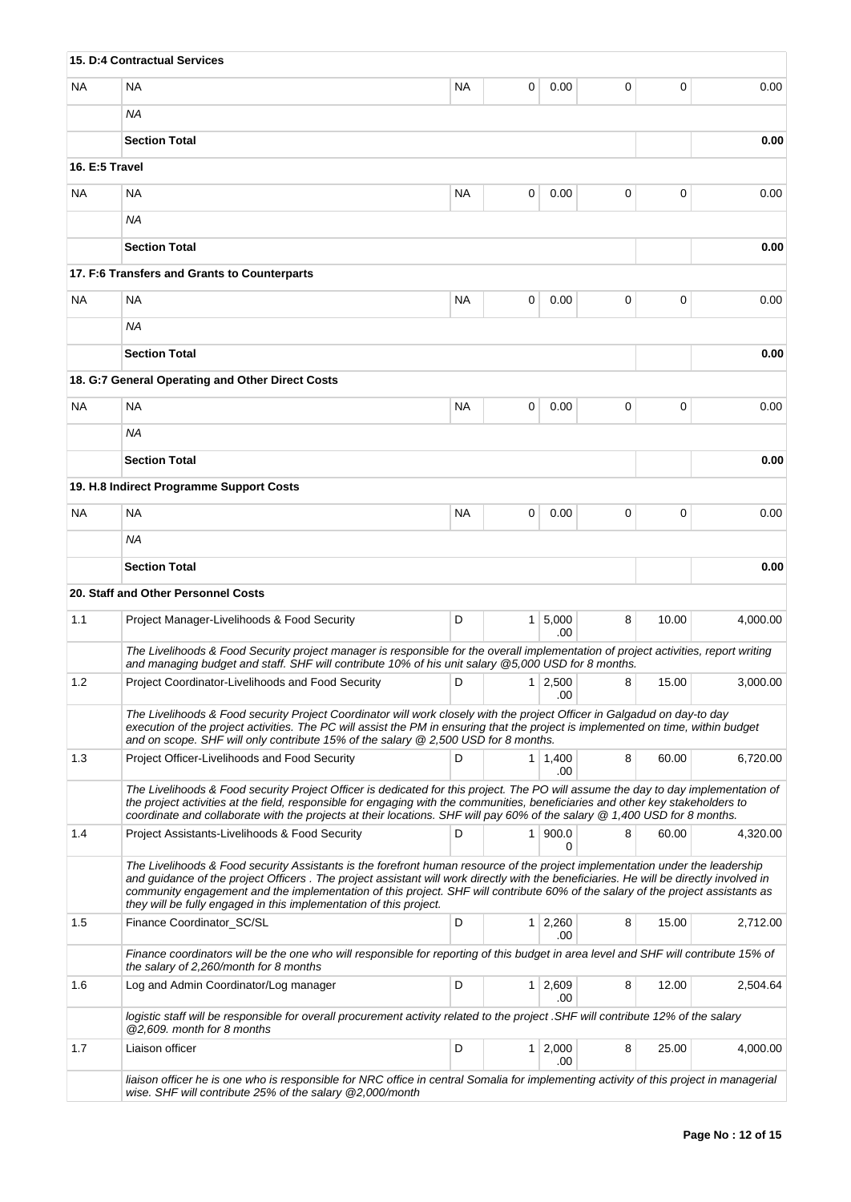|                | 15. D:4 Contractual Services                                                                                                                                                                                                                                                                                                                                                                                                                                                     |           |                |                       |   |       |          |
|----------------|----------------------------------------------------------------------------------------------------------------------------------------------------------------------------------------------------------------------------------------------------------------------------------------------------------------------------------------------------------------------------------------------------------------------------------------------------------------------------------|-----------|----------------|-----------------------|---|-------|----------|
| <b>NA</b>      | <b>NA</b>                                                                                                                                                                                                                                                                                                                                                                                                                                                                        | <b>NA</b> | 0              | 0.00                  | 0 | 0     | 0.00     |
|                | ΝA                                                                                                                                                                                                                                                                                                                                                                                                                                                                               |           |                |                       |   |       |          |
|                | <b>Section Total</b>                                                                                                                                                                                                                                                                                                                                                                                                                                                             |           |                |                       |   |       | 0.00     |
| 16. E:5 Travel |                                                                                                                                                                                                                                                                                                                                                                                                                                                                                  |           |                |                       |   |       |          |
| <b>NA</b>      | NA                                                                                                                                                                                                                                                                                                                                                                                                                                                                               | <b>NA</b> | 0              | 0.00                  | 0 | 0     | 0.00     |
|                | <b>NA</b>                                                                                                                                                                                                                                                                                                                                                                                                                                                                        |           |                |                       |   |       |          |
|                | <b>Section Total</b>                                                                                                                                                                                                                                                                                                                                                                                                                                                             |           |                |                       |   |       | 0.00     |
|                | 17. F:6 Transfers and Grants to Counterparts                                                                                                                                                                                                                                                                                                                                                                                                                                     |           |                |                       |   |       |          |
| <b>NA</b>      | <b>NA</b>                                                                                                                                                                                                                                                                                                                                                                                                                                                                        | <b>NA</b> | 0              | 0.00                  | 0 | 0     | 0.00     |
|                | ΝA                                                                                                                                                                                                                                                                                                                                                                                                                                                                               |           |                |                       |   |       |          |
|                | <b>Section Total</b>                                                                                                                                                                                                                                                                                                                                                                                                                                                             |           |                |                       |   |       | 0.00     |
|                | 18. G:7 General Operating and Other Direct Costs                                                                                                                                                                                                                                                                                                                                                                                                                                 |           |                |                       |   |       |          |
| <b>NA</b>      | <b>NA</b>                                                                                                                                                                                                                                                                                                                                                                                                                                                                        | <b>NA</b> | 0              | 0.00                  | 0 | 0     | 0.00     |
|                | ΝA                                                                                                                                                                                                                                                                                                                                                                                                                                                                               |           |                |                       |   |       |          |
|                | <b>Section Total</b>                                                                                                                                                                                                                                                                                                                                                                                                                                                             |           |                |                       |   |       | 0.00     |
|                | 19. H.8 Indirect Programme Support Costs                                                                                                                                                                                                                                                                                                                                                                                                                                         |           |                |                       |   |       |          |
| <b>NA</b>      | <b>NA</b>                                                                                                                                                                                                                                                                                                                                                                                                                                                                        | <b>NA</b> | 0              | 0.00                  | 0 | 0     | 0.00     |
|                | <b>NA</b>                                                                                                                                                                                                                                                                                                                                                                                                                                                                        |           |                |                       |   |       |          |
|                | <b>Section Total</b>                                                                                                                                                                                                                                                                                                                                                                                                                                                             |           |                |                       |   |       | 0.00     |
|                | 20. Staff and Other Personnel Costs                                                                                                                                                                                                                                                                                                                                                                                                                                              |           |                |                       |   |       |          |
| 1.1            | Project Manager-Livelihoods & Food Security                                                                                                                                                                                                                                                                                                                                                                                                                                      | D         |                | $1 \mid 5,000$<br>.00 | 8 | 10.00 | 4.000.00 |
|                | The Livelihoods & Food Security project manager is responsible for the overall implementation of project activities, report writing<br>and managing budget and staff. SHF will contribute 10% of his unit salary @5,000 USD for 8 months.                                                                                                                                                                                                                                        |           |                |                       |   |       |          |
| 1.2            | Project Coordinator-Livelihoods and Food Security                                                                                                                                                                                                                                                                                                                                                                                                                                | D         |                | $1 \mid 2,500$<br>.00 | 8 | 15.00 | 3,000.00 |
|                | The Livelihoods & Food security Project Coordinator will work closely with the project Officer in Galgadud on day-to day<br>execution of the project activities. The PC will assist the PM in ensuring that the project is implemented on time, within budget<br>and on scope. SHF will only contribute 15% of the salary $@$ 2,500 USD for 8 months.                                                                                                                            |           |                |                       |   |       |          |
| 1.3            | Project Officer-Livelihoods and Food Security                                                                                                                                                                                                                                                                                                                                                                                                                                    | D         |                | $1 \mid 1,400$<br>.00 | 8 | 60.00 | 6,720.00 |
|                | The Livelihoods & Food security Project Officer is dedicated for this project. The PO will assume the day to day implementation of<br>the project activities at the field, responsible for engaging with the communities, beneficiaries and other key stakeholders to<br>coordinate and collaborate with the projects at their locations. SHF will pay 60% of the salary @ 1,400 USD for 8 months.                                                                               |           |                |                       |   |       |          |
| 1.4            | Project Assistants-Livelihoods & Food Security                                                                                                                                                                                                                                                                                                                                                                                                                                   | D         |                | 1   900.0<br>$\Omega$ | 8 | 60.00 | 4,320.00 |
|                | The Livelihoods & Food security Assistants is the forefront human resource of the project implementation under the leadership<br>and quidance of the project Officers. The project assistant will work directly with the beneficiaries. He will be directly involved in<br>community engagement and the implementation of this project. SHF will contribute 60% of the salary of the project assistants as<br>they will be fully engaged in this implementation of this project. |           |                |                       |   |       |          |
| 1.5            | Finance Coordinator_SC/SL                                                                                                                                                                                                                                                                                                                                                                                                                                                        | D         | 1 <sup>1</sup> | 2,260<br>.00          | 8 | 15.00 | 2,712.00 |
|                | Finance coordinators will be the one who will responsible for reporting of this budget in area level and SHF will contribute 15% of<br>the salary of 2,260/month for 8 months                                                                                                                                                                                                                                                                                                    |           |                |                       |   |       |          |
| 1.6            | Log and Admin Coordinator/Log manager                                                                                                                                                                                                                                                                                                                                                                                                                                            | D         |                | $1 \mid 2,609$<br>.00 | 8 | 12.00 | 2,504.64 |
|                | logistic staff will be responsible for overall procurement activity related to the project .SHF will contribute 12% of the salary<br>@2,609. month for 8 months                                                                                                                                                                                                                                                                                                                  |           |                |                       |   |       |          |
| 1.7            | Liaison officer                                                                                                                                                                                                                                                                                                                                                                                                                                                                  | D         |                | $1 \mid 2,000$<br>.00 | 8 | 25.00 | 4,000.00 |
|                | liaison officer he is one who is responsible for NRC office in central Somalia for implementing activity of this project in managerial<br>wise. SHF will contribute 25% of the salary @2,000/month                                                                                                                                                                                                                                                                               |           |                |                       |   |       |          |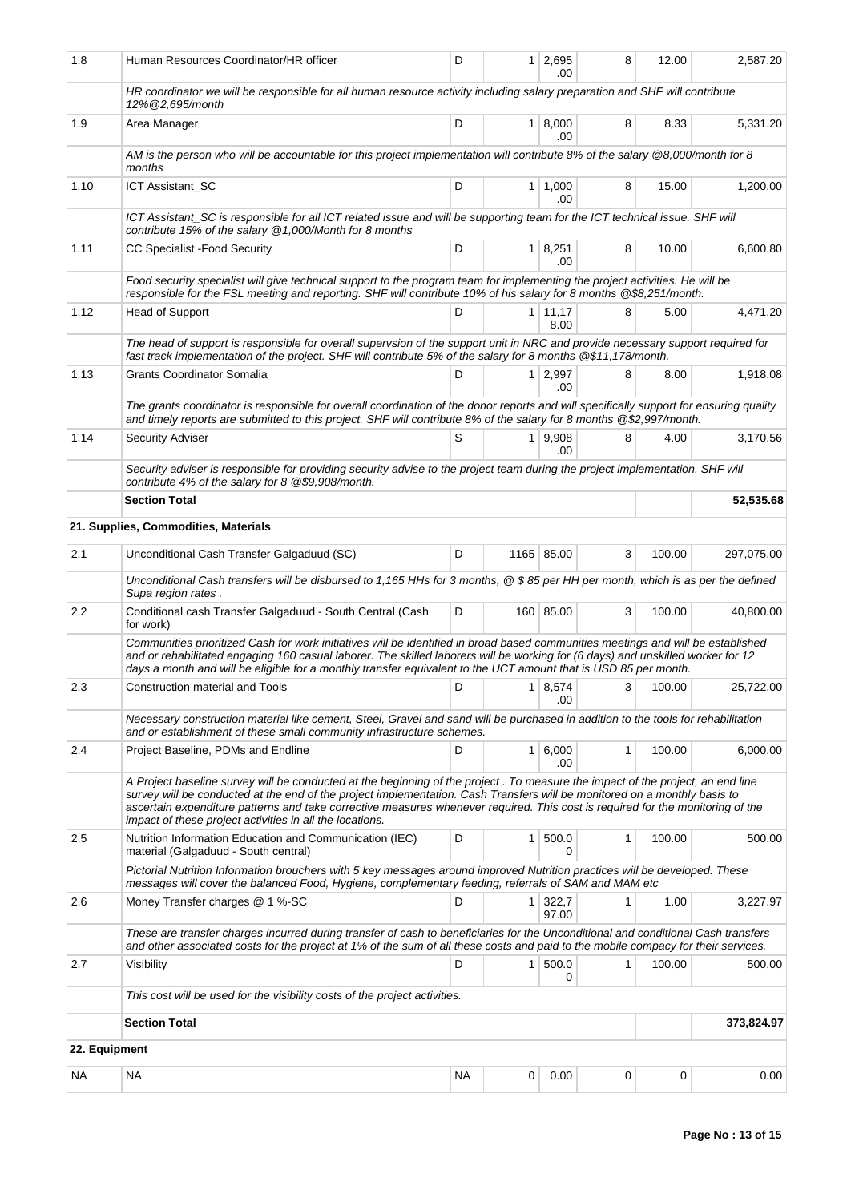| 1.8           | Human Resources Coordinator/HR officer                                                                                                                                                                                                                                                                                                                                                                                                                    | D                                |                | 1 2,695<br>.00        | 8 | 12.00  | 2,587.20   |  |
|---------------|-----------------------------------------------------------------------------------------------------------------------------------------------------------------------------------------------------------------------------------------------------------------------------------------------------------------------------------------------------------------------------------------------------------------------------------------------------------|----------------------------------|----------------|-----------------------|---|--------|------------|--|
|               | HR coordinator we will be responsible for all human resource activity including salary preparation and SHF will contribute<br>12% @2,695/month                                                                                                                                                                                                                                                                                                            |                                  |                |                       |   |        |            |  |
| 1.9           | Area Manager                                                                                                                                                                                                                                                                                                                                                                                                                                              | D                                |                | 1   8,000<br>.00      | 8 | 8.33   | 5,331.20   |  |
|               | AM is the person who will be accountable for this project implementation will contribute 8% of the salary @8,000/month for 8<br>months                                                                                                                                                                                                                                                                                                                    |                                  |                |                       |   |        |            |  |
| 1.10          | ICT Assistant_SC                                                                                                                                                                                                                                                                                                                                                                                                                                          | D                                |                | $1 \mid 1,000$<br>.00 | 8 | 15.00  | 1,200.00   |  |
|               | ICT Assistant_SC is responsible for all ICT related issue and will be supporting team for the ICT technical issue. SHF will<br>contribute 15% of the salary @1,000/Month for 8 months                                                                                                                                                                                                                                                                     |                                  |                |                       |   |        |            |  |
| 1.11          | CC Specialist - Food Security                                                                                                                                                                                                                                                                                                                                                                                                                             | D                                |                | $1 \mid 8,251$<br>.00 | 8 | 10.00  | 6,600.80   |  |
|               | Food security specialist will give technical support to the program team for implementing the project activities. He will be<br>responsible for the FSL meeting and reporting. SHF will contribute 10% of his salary for 8 months @\$8,251/month.                                                                                                                                                                                                         |                                  |                |                       |   |        |            |  |
| 1.12          | Head of Support                                                                                                                                                                                                                                                                                                                                                                                                                                           | D<br>$1 \mid 11,17$<br>8<br>8.00 |                |                       |   |        | 4,471.20   |  |
|               | The head of support is responsible for overall supervsion of the support unit in NRC and provide necessary support required for<br>fast track implementation of the project. SHF will contribute 5% of the salary for 8 months @\$11,178/month.                                                                                                                                                                                                           |                                  |                |                       |   |        |            |  |
| 1.13          | <b>Grants Coordinator Somalia</b>                                                                                                                                                                                                                                                                                                                                                                                                                         | D                                |                | $1 \mid 2,997$<br>.00 | 8 | 8.00   | 1,918.08   |  |
|               | The grants coordinator is responsible for overall coordination of the donor reports and will specifically support for ensuring quality<br>and timely reports are submitted to this project. SHF will contribute 8% of the salary for 8 months @\$2,997/month.                                                                                                                                                                                             |                                  |                |                       |   |        |            |  |
| 1.14          | <b>Security Adviser</b>                                                                                                                                                                                                                                                                                                                                                                                                                                   | S                                |                | 1   9,908<br>.00      | 8 | 4.00   | 3,170.56   |  |
|               | Security adviser is responsible for providing security advise to the project team during the project implementation. SHF will<br>contribute 4% of the salary for 8 @\$9,908/month.                                                                                                                                                                                                                                                                        |                                  |                |                       |   |        |            |  |
|               | <b>Section Total</b>                                                                                                                                                                                                                                                                                                                                                                                                                                      |                                  |                | 52,535.68             |   |        |            |  |
|               | 21. Supplies, Commodities, Materials                                                                                                                                                                                                                                                                                                                                                                                                                      |                                  |                |                       |   |        |            |  |
| 2.1           | Unconditional Cash Transfer Galgaduud (SC)                                                                                                                                                                                                                                                                                                                                                                                                                | D                                |                | 1165 85.00            | 3 | 100.00 | 297,075.00 |  |
|               | Unconditional Cash transfers will be disbursed to 1,165 HHs for 3 months, @ \$85 per HH per month, which is as per the defined<br>Supa region rates.                                                                                                                                                                                                                                                                                                      |                                  |                |                       |   |        |            |  |
| $2.2\,$       | Conditional cash Transfer Galgaduud - South Central (Cash<br>for work)                                                                                                                                                                                                                                                                                                                                                                                    | D                                |                | 160 85.00             | 3 | 100.00 | 40,800.00  |  |
|               | Communities prioritized Cash for work initiatives will be identified in broad based communities meetings and will be established<br>and or rehabilitated engaging 160 casual laborer. The skilled laborers will be working for (6 days) and unskilled worker for 12<br>days a month and will be eligible for a monthly transfer equivalent to the UCT amount that is USD 85 per month.                                                                    |                                  |                |                       |   |        |            |  |
| 2.3           | Construction material and Tools                                                                                                                                                                                                                                                                                                                                                                                                                           | D                                |                | $1 \mid 8.574$<br>.00 | 3 | 100.00 | 25.722.00  |  |
|               | Necessary construction material like cement, Steel, Gravel and sand will be purchased in addition to the tools for rehabilitation<br>and or establishment of these small community infrastructure schemes.                                                                                                                                                                                                                                                |                                  |                |                       |   |        |            |  |
| 2.4           | D<br>1 6,000<br>Project Baseline, PDMs and Endline<br>.00                                                                                                                                                                                                                                                                                                                                                                                                 |                                  |                |                       |   | 100.00 | 6,000.00   |  |
|               | A Project baseline survey will be conducted at the beginning of the project. To measure the impact of the project, an end line<br>survey will be conducted at the end of the project implementation. Cash Transfers will be monitored on a monthly basis to<br>ascertain expenditure patterns and take corrective measures whenever required. This cost is required for the monitoring of the<br>impact of these project activities in all the locations. |                                  |                |                       |   |        |            |  |
| 2.5           | Nutrition Information Education and Communication (IEC)<br>material (Galgaduud - South central)                                                                                                                                                                                                                                                                                                                                                           | D                                | 1 <sup>1</sup> | 500.0<br>0            | 1 | 100.00 | 500.00     |  |
|               | Pictorial Nutrition Information brouchers with 5 key messages around improved Nutrition practices will be developed. These<br>messages will cover the balanced Food, Hygiene, complementary feeding, referrals of SAM and MAM etc                                                                                                                                                                                                                         |                                  |                |                       |   |        |            |  |
| 2.6           | Money Transfer charges @ 1 %-SC                                                                                                                                                                                                                                                                                                                                                                                                                           | D                                | 1 <sup>1</sup> | 322,7<br>97.00        | 1 | 1.00   | 3,227.97   |  |
|               | These are transfer charges incurred during transfer of cash to beneficiaries for the Unconditional and conditional Cash transfers<br>and other associated costs for the project at 1% of the sum of all these costs and paid to the mobile compacy for their services.                                                                                                                                                                                    |                                  |                |                       |   |        |            |  |
| 2.7           | Visibility                                                                                                                                                                                                                                                                                                                                                                                                                                                | D                                |                | 1   500.0<br>0        | 1 | 100.00 | 500.00     |  |
|               | This cost will be used for the visibility costs of the project activities.                                                                                                                                                                                                                                                                                                                                                                                |                                  |                |                       |   |        |            |  |
|               | <b>Section Total</b>                                                                                                                                                                                                                                                                                                                                                                                                                                      |                                  |                |                       |   |        | 373,824.97 |  |
| 22. Equipment |                                                                                                                                                                                                                                                                                                                                                                                                                                                           |                                  |                |                       |   |        |            |  |
| NА            | NA                                                                                                                                                                                                                                                                                                                                                                                                                                                        | <b>NA</b>                        | 0              | 0.00                  | 0 | 0      | 0.00       |  |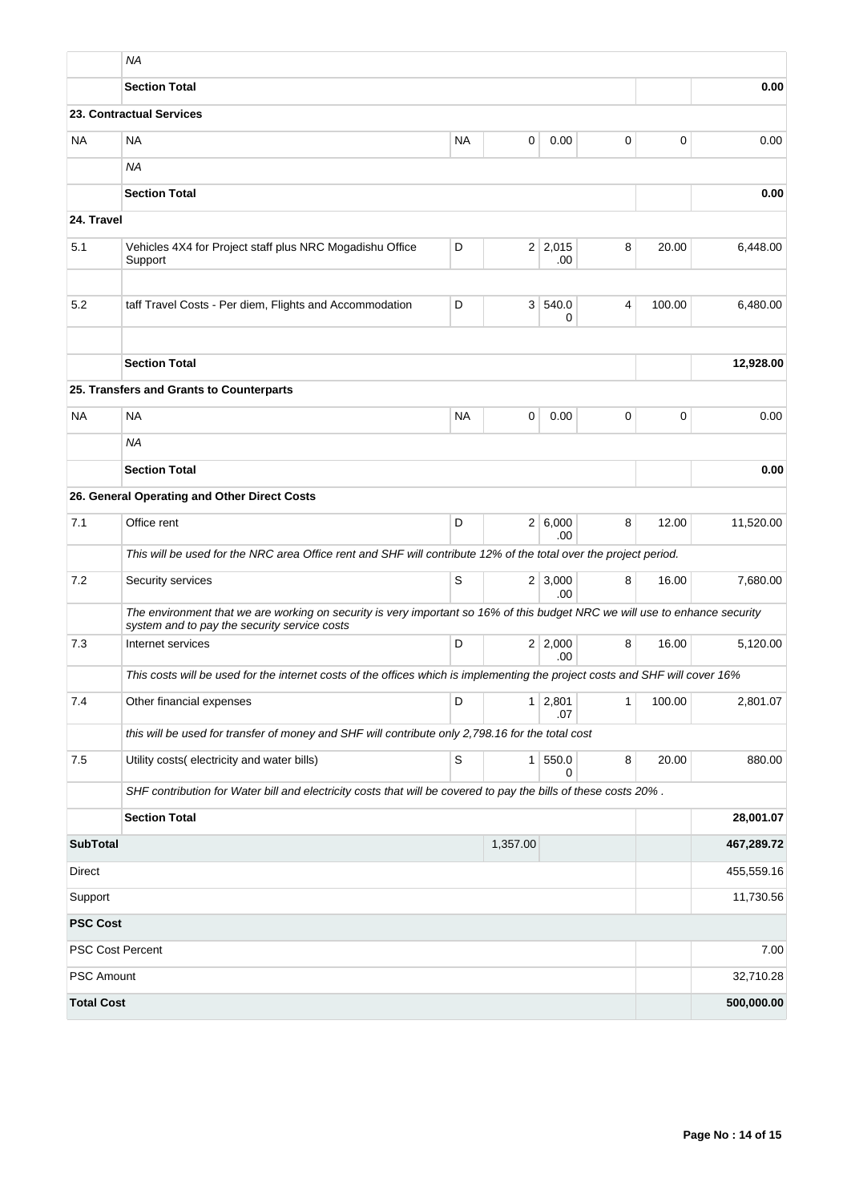|                   | <b>NA</b>                                                                                                                                                                   |           |          |                       |          |             |            |  |
|-------------------|-----------------------------------------------------------------------------------------------------------------------------------------------------------------------------|-----------|----------|-----------------------|----------|-------------|------------|--|
|                   | <b>Section Total</b><br>0.00                                                                                                                                                |           |          |                       |          |             |            |  |
|                   | 23. Contractual Services                                                                                                                                                    |           |          |                       |          |             |            |  |
| NA                | <b>NA</b>                                                                                                                                                                   | <b>NA</b> | 0        | 0.00                  | 0        | 0           | 0.00       |  |
|                   | <b>NA</b>                                                                                                                                                                   |           |          |                       |          |             |            |  |
|                   | <b>Section Total</b>                                                                                                                                                        |           |          |                       |          |             | 0.00       |  |
| 24. Travel        |                                                                                                                                                                             |           |          |                       |          |             |            |  |
| 5.1               | Vehicles 4X4 for Project staff plus NRC Mogadishu Office<br>Support                                                                                                         | D         |          | $2 \mid 2,015$<br>.00 | 8        | 20.00       | 6,448.00   |  |
| 5.2               | taff Travel Costs - Per diem, Flights and Accommodation                                                                                                                     | D         |          | 3 540.0<br>0          | 4        | 100.00      | 6,480.00   |  |
|                   | <b>Section Total</b>                                                                                                                                                        |           |          |                       |          |             | 12,928.00  |  |
|                   | 25. Transfers and Grants to Counterparts                                                                                                                                    |           |          |                       |          |             |            |  |
| <b>NA</b>         | <b>NA</b>                                                                                                                                                                   | <b>NA</b> | 0        | 0.00                  | 0        | $\mathbf 0$ | 0.00       |  |
|                   | <b>NA</b>                                                                                                                                                                   |           |          |                       |          |             |            |  |
|                   | <b>Section Total</b>                                                                                                                                                        |           |          |                       |          |             | 0.00       |  |
|                   | 26. General Operating and Other Direct Costs                                                                                                                                |           |          |                       |          |             |            |  |
| 7.1               | Office rent                                                                                                                                                                 | D         |          | 2 6,000<br>.00        | 8        | 12.00       | 11,520.00  |  |
|                   | This will be used for the NRC area Office rent and SHF will contribute 12% of the total over the project period.                                                            |           |          |                       |          |             |            |  |
| 7.2               | Security services                                                                                                                                                           | S         |          | $2 \mid 3,000$<br>.00 | 8        | 16.00       | 7,680.00   |  |
|                   | The environment that we are working on security is very important so 16% of this budget NRC we will use to enhance security<br>system and to pay the security service costs |           |          |                       |          |             |            |  |
| 7.3               | Internet services                                                                                                                                                           | D         |          | 2 2,000<br>.00        | 8        | 16.00       | 5,120.00   |  |
|                   | This costs will be used for the internet costs of the offices which is implementing the project costs and SHF will cover 16%                                                |           |          |                       |          |             |            |  |
| 7.4               | Other financial expenses<br>D<br>$1 \mid 2,801$<br>1<br>.07                                                                                                                 |           |          | 100.00                | 2,801.07 |             |            |  |
|                   | this will be used for transfer of money and SHF will contribute only 2,798.16 for the total cost                                                                            |           |          |                       |          |             |            |  |
| 7.5               | Utility costs(electricity and water bills)                                                                                                                                  | S         |          | 1 550.0<br>0          | 8        | 20.00       | 880.00     |  |
|                   | SHF contribution for Water bill and electricity costs that will be covered to pay the bills of these costs 20%.                                                             |           |          |                       |          |             |            |  |
|                   | <b>Section Total</b>                                                                                                                                                        |           |          |                       |          |             | 28,001.07  |  |
| <b>SubTotal</b>   |                                                                                                                                                                             |           | 1,357.00 |                       |          |             | 467,289.72 |  |
| <b>Direct</b>     |                                                                                                                                                                             |           |          |                       |          |             | 455,559.16 |  |
| Support           |                                                                                                                                                                             |           |          |                       |          |             | 11,730.56  |  |
| <b>PSC Cost</b>   |                                                                                                                                                                             |           |          |                       |          |             |            |  |
|                   | <b>PSC Cost Percent</b>                                                                                                                                                     |           |          |                       |          |             | 7.00       |  |
| <b>PSC Amount</b> |                                                                                                                                                                             |           |          |                       |          |             | 32,710.28  |  |
| <b>Total Cost</b> |                                                                                                                                                                             |           |          |                       |          |             | 500,000.00 |  |